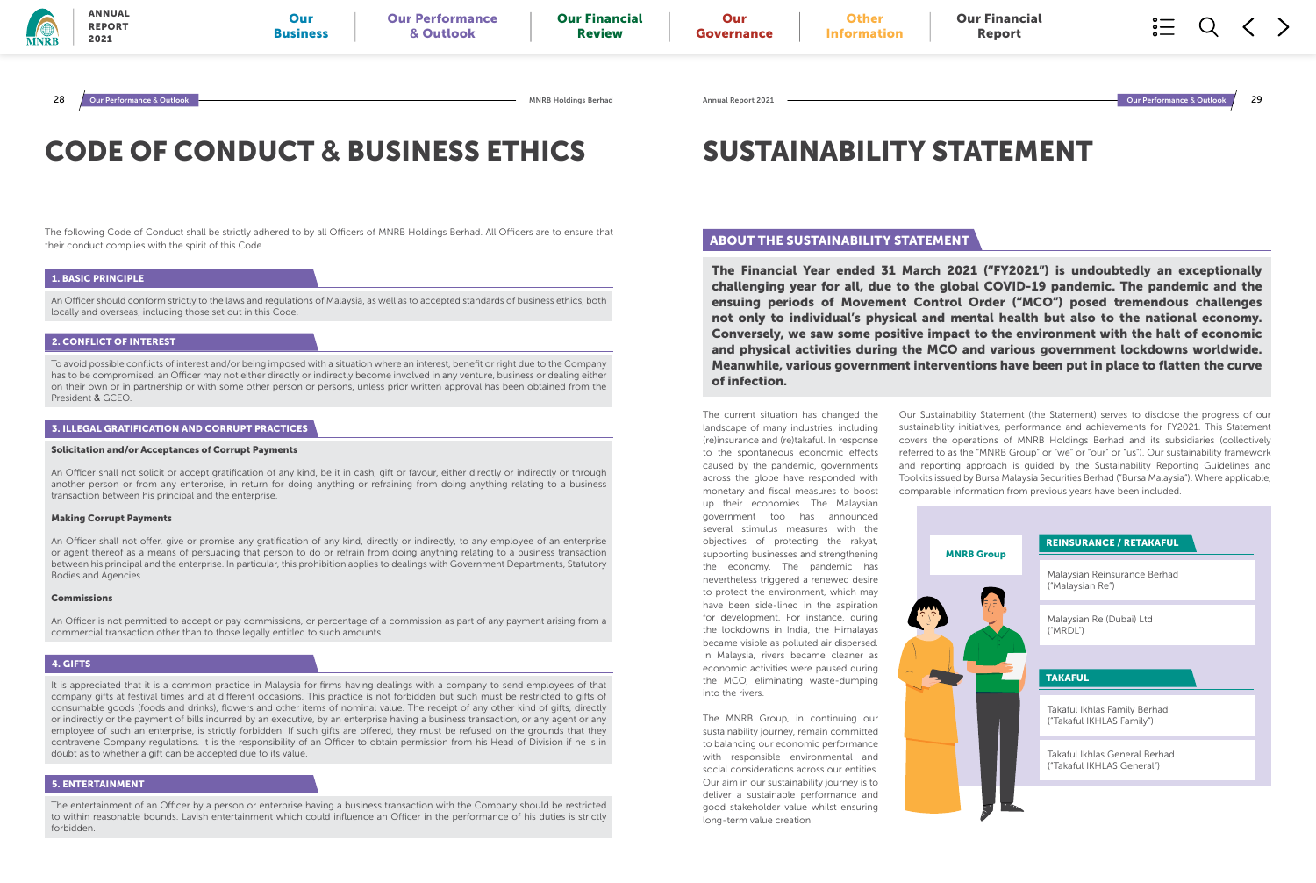# CODE OF CONDUCT **&** BUSINESS ETHICS

The following Code of Conduct shall be strictly adhered to by all Officers of MNRB Holdings Berhad. All Officers are to ensure that their conduct complies with the spirit of this Code.

### 1. BASIC PRINCIPLE

An Officer should conform strictly to the laws and regulations of Malaysia, as well as to accepted standards of business ethics, both locally and overseas, including those set out in this Code.

### 2. CONFLICT OF INTEREST

To avoid possible conflicts of interest and/or being imposed with a situation where an interest, benefit or right due to the Company has to be compromised, an Officer may not either directly or indirectly become involved in any venture, business or dealing either on their own or in partnership or with some other person or persons, unless prior written approval has been obtained from the President & GCEO.

### 4. GIFTS

It is appreciated that it is a common practice in Malaysia for firms having dealings with a company to send employees of that company gifts at festival times and at different occasions. This practice is not forbidden but such must be restricted to gifts of consumable goods (foods and drinks), flowers and other items of nominal value. The receipt of any other kind of gifts, directly or indirectly or the payment of bills incurred by an executive, by an enterprise having a business transaction, or any agent or any employee of such an enterprise, is strictly forbidden. If such gifts are offered, they must be refused on the grounds that they contravene Company regulations. It is the responsibility of an Officer to obtain permission from his Head of Division if he is in doubt as to whether a gift can be accepted due to its value.

### 5. ENTERTAINMENT

The entertainment of an Officer by a person or enterprise having a business transaction with the Company should be restricted to within reasonable bounds. Lavish entertainment which could influence an Officer in the performance of his duties is strictly forbidden.

### 3. ILLEGAL GRATIFICATION AND CORRUPT PRACTICES

### Solicitation and/or Acceptances of Corrupt Payments

An Officer shall not solicit or accept gratification of any kind, be it in cash, gift or favour, either directly or indirectly or through another person or from any enterprise, in return for doing anything or refraining from doing anything relating to a business transaction between his principal and the enterprise.

### Making Corrupt Payments

An Officer shall not offer, give or promise any gratification of any kind, directly or indirectly, to any employee of an enterprise or agent thereof as a means of persuading that person to do or refrain from doing anything relating to a business transaction between his principal and the enterprise. In particular, this prohibition applies to dealings with Government Departments, Statutory Bodies and Agencies.

### Commissions

An Officer is not permitted to accept or pay commissions, or percentage of a commission as part of any payment arising from a commercial transaction other than to those legally entitled to such amounts.

# SUSTAINABILITY STATEMENT

The current situation has changed the landscape of many industries, including (re)insurance and (re)takaful. In response to the spontaneous economic effects caused by the pandemic, governments across the globe have responded with monetary and fiscal measures to boost up their economies. The Malaysian government too has announced several stimulus measures with the objectives of protecting the rakyat, supporting businesses and strengthening the economy. The pandemic has nevertheless triggered a renewed desire to protect the environment, which may have been side-lined in the aspiration for development. For instance, during the lockdowns in India, the Himalayas became visible as polluted air dispersed. In Malaysia, rivers became cleaner as economic activities were paused during the MCO, eliminating waste-dumping into the rivers.

The MNRB Group, in continuing our sustainability journey, remain committed to balancing our economic performance with responsible environmental and social considerations across our entities. Our aim in our sustainability journey is to deliver a sustainable performance and good stakeholder value whilst ensuring long-term value creation.

Our Sustainability Statement (the Statement) serves to disclose the progress of our sustainability initiatives, performance and achievements for FY2021. This Statement covers the operations of MNRB Holdings Berhad and its subsidiaries (collectively referred to as the "MNRB Group" or "we" or "our" or "us"). Our sustainability framework and reporting approach is guided by the Sustainability Reporting Guidelines and Toolkits issued by Bursa Malaysia Securities Berhad ("Bursa Malaysia"). Where applicable, comparable information from previous years have been included.

The Financial Year ended 31 March 2021 ("FY2021") is undoubtedly an exceptionally challenging year for all, due to the global COVID-19 pandemic. The pandemic and the ensuing periods of Movement Control Order ("MCO") posed tremendous challenges not only to individual's physical and mental health but also to the national economy. Conversely, we saw some positive impact to the environment with the halt of economic and physical activities during the MCO and various government lockdowns worldwide. Meanwhile, various government interventions have been put in place to flatten the curve of infection.



### ABOUT THE SUSTAINABILITY STATEMENT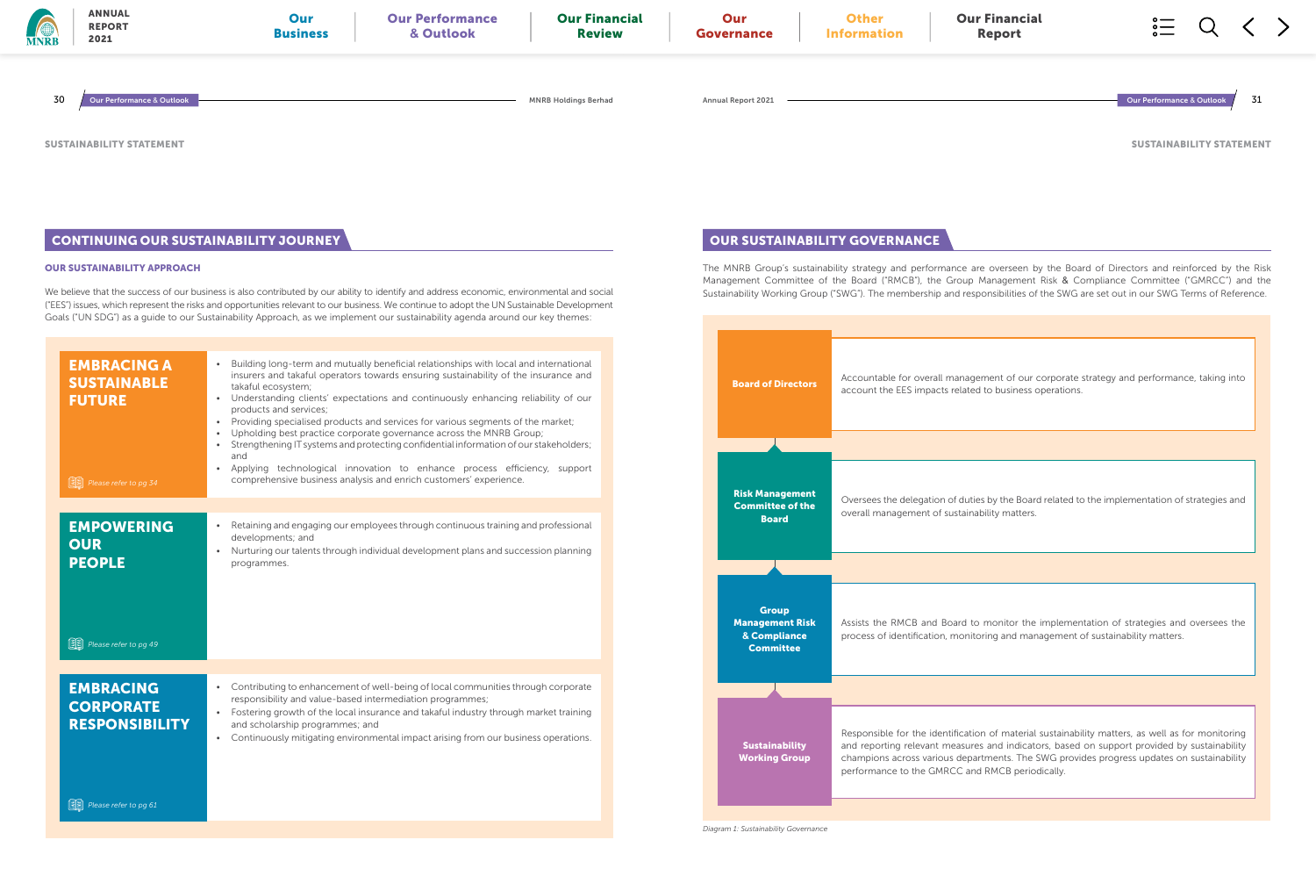Accountable for overall management of our corporate strategy and performance, taking into **Board of Directors** account the EES impacts related to business operations.



|    | <b>ANNUAL</b><br><b>REPORT</b><br>2021                        | Our<br><b>Business</b>                                                                                    | <b>Our Performance</b><br>& Outlook                                                                                                                                                                                                                                                                                                                                                                                                                                                                                    | <b>Our Financial</b><br><b>Review</b> | Our<br>Governance                                                                    |  |
|----|---------------------------------------------------------------|-----------------------------------------------------------------------------------------------------------|------------------------------------------------------------------------------------------------------------------------------------------------------------------------------------------------------------------------------------------------------------------------------------------------------------------------------------------------------------------------------------------------------------------------------------------------------------------------------------------------------------------------|---------------------------------------|--------------------------------------------------------------------------------------|--|
| 30 | Our Performance & Outlook                                     |                                                                                                           |                                                                                                                                                                                                                                                                                                                                                                                                                                                                                                                        | <b>MNRB Holdings Berhad</b>           | <b>Annual Report 2021</b>                                                            |  |
|    | USTAINABILITY STATEMENT                                       |                                                                                                           |                                                                                                                                                                                                                                                                                                                                                                                                                                                                                                                        |                                       |                                                                                      |  |
|    |                                                               | <b>CONTINUING OUR SUSTAINABILITY JOURNEY</b>                                                              |                                                                                                                                                                                                                                                                                                                                                                                                                                                                                                                        |                                       | <b>OUR SUSTAINABIL</b>                                                               |  |
|    | <b>UR SUSTAINABILITY APPROACH</b>                             |                                                                                                           | e believe that the success of our business is also contributed by our ability to identify and address economic, environmental and social<br>EES") issues, which represent the risks and opportunities relevant to our business. We continue to adopt the UN Sustainable Development<br>oals ("UN SDG") as a quide to our Sustainability Approach, as we implement our sustainability agenda around our key themes:                                                                                                     |                                       | The MNRB Group's sustaina<br>Management Committee of<br>Sustainability Working Group |  |
|    | <b>EMBRACING A</b><br><b>SUSTAINABLE</b><br><b>FUTURE</b>     | takaful ecosystem;<br>products and services;                                                              | Building long-term and mutually beneficial relationships with local and international<br>insurers and takaful operators towards ensuring sustainability of the insurance and<br>Understanding clients' expectations and continuously enhancing reliability of our<br>Providing specialised products and services for various segments of the market;<br>Upholding best practice corporate governance across the MNRB Group;<br>• Strengthening IT systems and protecting confidential information of our stakeholders; |                                       | <b>Board of Directors</b>                                                            |  |
|    | <b>同</b> Please refer to pg 34                                | and                                                                                                       | Applying technological innovation to enhance process efficiency, support<br>comprehensive business analysis and enrich customers' experience.                                                                                                                                                                                                                                                                                                                                                                          |                                       | <b>Risk Management</b>                                                               |  |
|    | <b>EMPOWERING</b><br><b>OUR</b><br><b>PEOPLE</b>              | $\bullet$<br>developments; and<br>programmes.                                                             | Retaining and engaging our employees through continuous training and professional<br>Nurturing our talents through individual development plans and succession planning                                                                                                                                                                                                                                                                                                                                                |                                       | <b>Committee of the</b><br><b>Board</b>                                              |  |
|    | <b>国</b> Please refer to pg 49                                |                                                                                                           |                                                                                                                                                                                                                                                                                                                                                                                                                                                                                                                        |                                       | <b>Group</b><br><b>Management Risk</b><br>& Compliance<br><b>Committee</b>           |  |
|    | <b>EMBRACING</b><br><b>CORPORATE</b><br><b>RESPONSIBILITY</b> | responsibility and value-based intermediation programmes;<br>$\bullet$<br>and scholarship programmes; and | • Contributing to enhancement of well-being of local communities through corporate<br>Fostering growth of the local insurance and takaful industry through market training<br>• Continuously mitigating environmental impact arising from our business operations.                                                                                                                                                                                                                                                     |                                       | <b>Sustainability</b><br><b>Working Group</b>                                        |  |
|    | <b>图</b> Please refer to pg 61                                |                                                                                                           |                                                                                                                                                                                                                                                                                                                                                                                                                                                                                                                        |                                       | Diagram 1: Sustainability Governance                                                 |  |

The MNRB Group's sustainability strategy and performance are overseen by the Board of Directors and reinforced by the Risk Management Committee of the Board ("RMCB"), the Group Management Risk & Compliance Committee ("GMRCC") and the Sustainability Working Group ("SWG"). The membership and responsibilities of the SWG are set out in our SWG Terms of Reference.

SUSTAINABILITY STATEMENT

Oversees the delegation of duties by the Board related to the implementation of strategies and overall management of sustainability matters.

> Assists the RMCB and Board to monitor the implementation of strategies and oversees the process of identification, monitoring and management of sustainability matters.

> Responsible for the identification of material sustainability matters, as well as for monitoring and reporting relevant measures and indicators, based on support provided by sustainability champions across various departments. The SWG provides progress updates on sustainability performance to the GMRCC and RMCB periodically.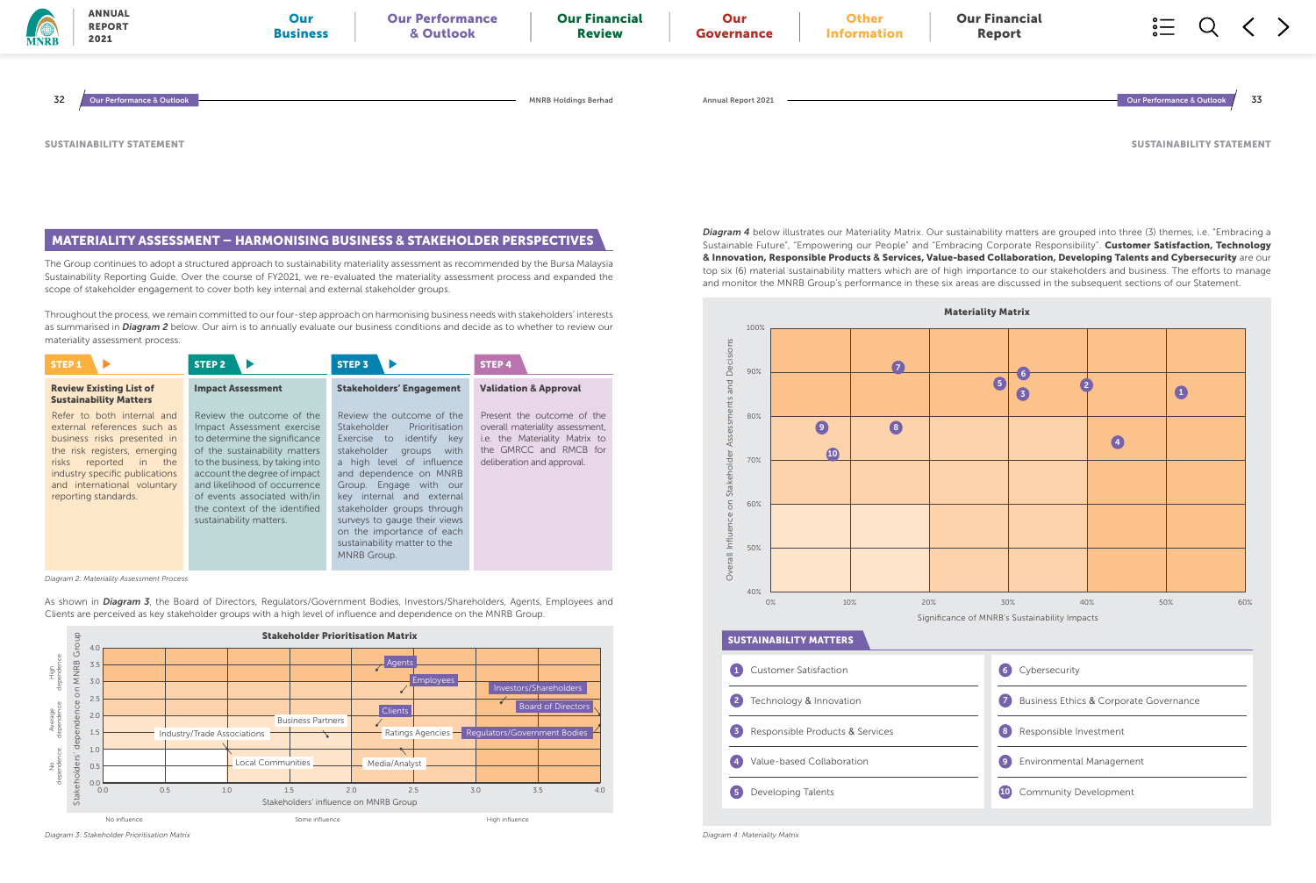The Group continues to adopt a structured approach to sustainability materiality assessment as recommended by the Bursa Malaysia Sustainability Reporting Guide. Over the course of FY2021, we re-evaluated the materiality assessment process and expanded the scope of stakeholder engagement to cover both key internal and external stakeholder groups.

Throughout the process, we remain committed to our four-step approach on harmonising business needs with stakeholders' interests as summarised in *Diagram 2* below. Our aim is to annually evaluate our business conditions and decide as to whether to review our materiality assessment process.

As shown in *Diagram 3*, the Board of Directors, Regulators/Government Bodies, Investors/Shareholders, Agents, Employees and Clients are perceived as key stakeholder groups with a high level of influence and dependence on the MNRB Group.

### MATERIALITY ASSESSMENT – HARMONISING BUSINESS **&** STAKEHOLDER PERSPECTIVES



*Diagram 2: Materiality Assessment Process*

*Diagram 3: Stakeholder Prioritisation Matrix*





SUSTAINABILITY STATEMENT

*Diagram 4* below illustrates our Materiality Matrix. Our sustainability matters are grouped into three (3) themes, i.e. "Embracing a Sustainable Future", "Empowering our People" and "Embracing Corporate Responsibility". Customer Satisfaction, Technology **&** Innovation, Responsible Products **&** Services, Value-based Collaboration, Developing Talents and Cybersecurity are our top six (6) material sustainability matters which are of high importance to our stakeholders and business. The efforts to manage and monitor the MNRB Group's performance in these six areas are discussed in the subsequent sections of our Statement.

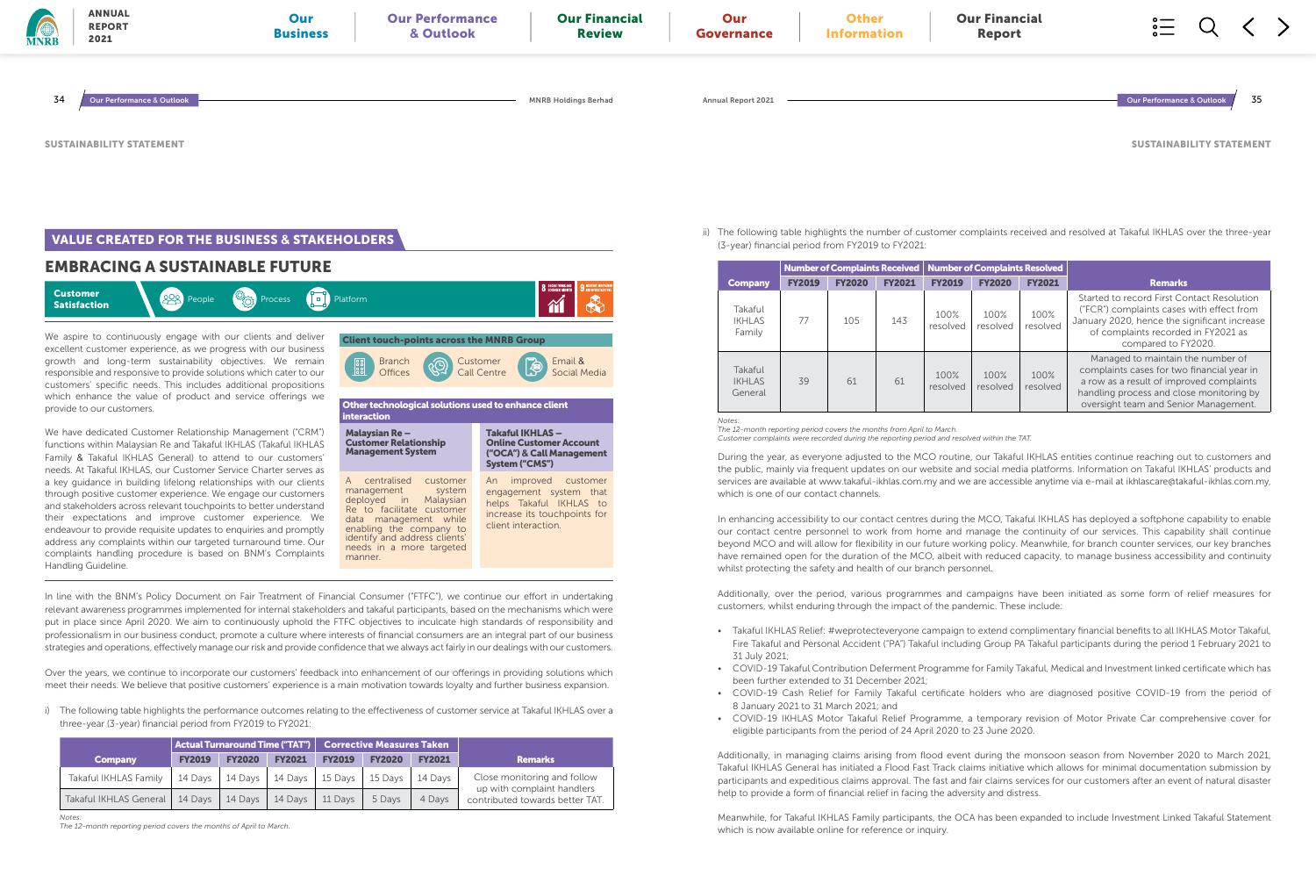## EMBRACING A SUSTAINABLE FUTURE



We aspire to continuously engage with our clients and deliver excellent customer experience, as we progress with our business growth and long-term sustainability objectives. We remain responsible and responsive to provide solutions which cater to our customers' specific needs. This includes additional propositions which enhance the value of product and service offerings we provide to our customers.

In line with the BNM's Policy Document on Fair Treatment of Financial Consumer ("FTFC"), we continue our effort in undertaking relevant awareness programmes implemented for internal stakeholders and takaful participants, based on the mechanisms which were put in place since April 2020. We aim to continuously uphold the FTFC objectives to inculcate high standards of responsibility and professionalism in our business conduct, promote a culture where interests of financial consumers are an integral part of our business strategies and operations, effectively manage our risk and provide confidence that we always act fairly in our dealings with our customers.

We have dedicated Customer Relationship Management ("CRM") functions within Malaysian Re and Takaful IKHLAS (Takaful IKHLAS Family & Takaful IKHLAS General) to attend to our customers' needs. At Takaful IKHLAS, our Customer Service Charter serves as a key guidance in building lifelong relationships with our clients through positive customer experience. We engage our customers and stakeholders across relevant touchpoints to better understand their expectations and improve customer experience. We endeavour to provide requisite updates to enquiries and promptly address any complaints within our targeted turnaround time. Our complaints handling procedure is based on BNM's Complaints Handling Guideline.

Over the years, we continue to incorporate our customers' feedback into enhancement of our offerings in providing solutions which meet their needs. We believe that positive customers' experience is a main motivation towards loyalty and further business expansion.

i) The following table highlights the performance outcomes relating to the effectiveness of customer service at Takaful IKHLAS over a three-year (3-year) financial period from FY2019 to FY2021:



|                        |                     |               | $\mid$ Actual Turnaround Time ("TAT") $\mid \mid$ Corrective Measures Taken $\mid$ |               |               |               |                                                               |
|------------------------|---------------------|---------------|------------------------------------------------------------------------------------|---------------|---------------|---------------|---------------------------------------------------------------|
| <b>Company</b>         | <b>FY2019</b>       | <b>FY2020</b> | <b>FY2021</b>                                                                      | <b>FY2019</b> | <b>FY2020</b> | <b>FY2021</b> | <b>Remarks</b>                                                |
| Takaful IKHLAS Family  | 14 Days $\parallel$ | 14 Days       | 14 Days                                                                            | 15 Days       | 15 Days       | 14 Davs       | Close monitoring and follow                                   |
| Takaful IKHLAS General | 14 Days             | 14 Days       | 14 Days                                                                            | 11 Days       | 5 Davs        | 4 Days        | up with complaint handlers<br>contributed towards better TAT. |

*Notes:*

*The 12-month reporting period covers the months of April to March.*

ii) The following table highlights the number of customer complaints received and resolved at Takaful IKHLAS over the three-year



## **VALUE CREATED FOR THE BUSINESS & STAKEHOLDERS**

(3-year) financial period from FY2019 to FY2021:

During the year, as everyone adjusted to the MCO routine, our Takaful IKHLAS entities continue reaching out to customers and the public, mainly via frequent updates on our website and social media platforms. Information on Takaful IKHLAS' products and services are available at www.takaful-ikhlas.com.my and we are accessible anytime via e-mail at ikhlascare@takaful-ikhlas.com.my, which is one of our contact channels.

In enhancing accessibility to our contact centres during the MCO, Takaful IKHLAS has deployed a softphone capability to enable our contact centre personnel to work from home and manage the continuity of our services. This capability shall continue beyond MCO and will allow for flexibility in our future working policy. Meanwhile, for branch counter services, our key branches have remained open for the duration of the MCO, albeit with reduced capacity, to manage business accessibility and continuity whilst protecting the safety and health of our branch personnel.

Additionally, over the period, various programmes and campaigns have been initiated as some form of relief measures for customers, whilst enduring through the impact of the pandemic. These include:

• Takaful IKHLAS Relief: #weprotecteveryone campaign to extend complimentary financial benefits to all IKHLAS Motor Takaful, Fire Takaful and Personal Accident ("PA") Takaful including Group PA Takaful participants during the period 1 February 2021 to

• COVID-19 Takaful Contribution Deferment Programme for Family Takaful, Medical and Investment linked certificate which has

• COVID-19 Cash Relief for Family Takaful certificate holders who are diagnosed positive COVID-19 from the period of

- 31 July 2021;
- been further extended to 31 December 2021;
- 8 January 2021 to 31 March 2021; and
- eligible participants from the period of 24 April 2020 to 23 June 2020.

• COVID-19 IKHLAS Motor Takaful Relief Programme, a temporary revision of Motor Private Car comprehensive cover for

Additionally, in managing claims arising from flood event during the monsoon season from November 2020 to March 2021, Takaful IKHLAS General has initiated a Flood Fast Track claims initiative which allows for minimal documentation submission by participants and expeditious claims approval. The fast and fair claims services for our customers after an event of natural disaster help to provide a form of financial relief in facing the adversity and distress.

Meanwhile, for Takaful IKHLAS Family participants, the OCA has been expanded to include Investment Linked Takaful Statement which is now available online for reference or inquiry.

SUSTAINABILITY STATEMENT

|                                     | Number of Complaints Received   Number of Complaints Resolved |               |               |                  |                  |                  |                                                                                                                                                                                                                  |
|-------------------------------------|---------------------------------------------------------------|---------------|---------------|------------------|------------------|------------------|------------------------------------------------------------------------------------------------------------------------------------------------------------------------------------------------------------------|
| <b>Company</b>                      | <b>FY2019</b>                                                 | <b>FY2020</b> | <b>FY2021</b> | <b>FY2019</b>    | <b>FY2020</b>    | <b>FY2021</b>    | <b>Remarks</b>                                                                                                                                                                                                   |
| Takaful<br><b>IKHLAS</b><br>Family  | 77                                                            | 105           | 143           | 100%<br>resolved | 100%<br>resolved | 100%<br>resolved | Started to record First Contact Resolution<br>("FCR") complaints cases with effect from<br>January 2020, hence the significant increase<br>of complaints recorded in FY2021 as<br>compared to FY2020.            |
| Takaful<br><b>IKHLAS</b><br>General | 39                                                            | 61            | 61            | 100%<br>resolved | 100%<br>resolved | 100%<br>resolved | Managed to maintain the number of<br>complaints cases for two financial year in<br>a row as a result of improved complaints<br>handling process and close monitoring by<br>oversight team and Senior Management. |

*Notes:* 

*The 12-month reporting period covers the months from April to March. Customer complaints were recorded during the reporting period and resolved within the TAT.*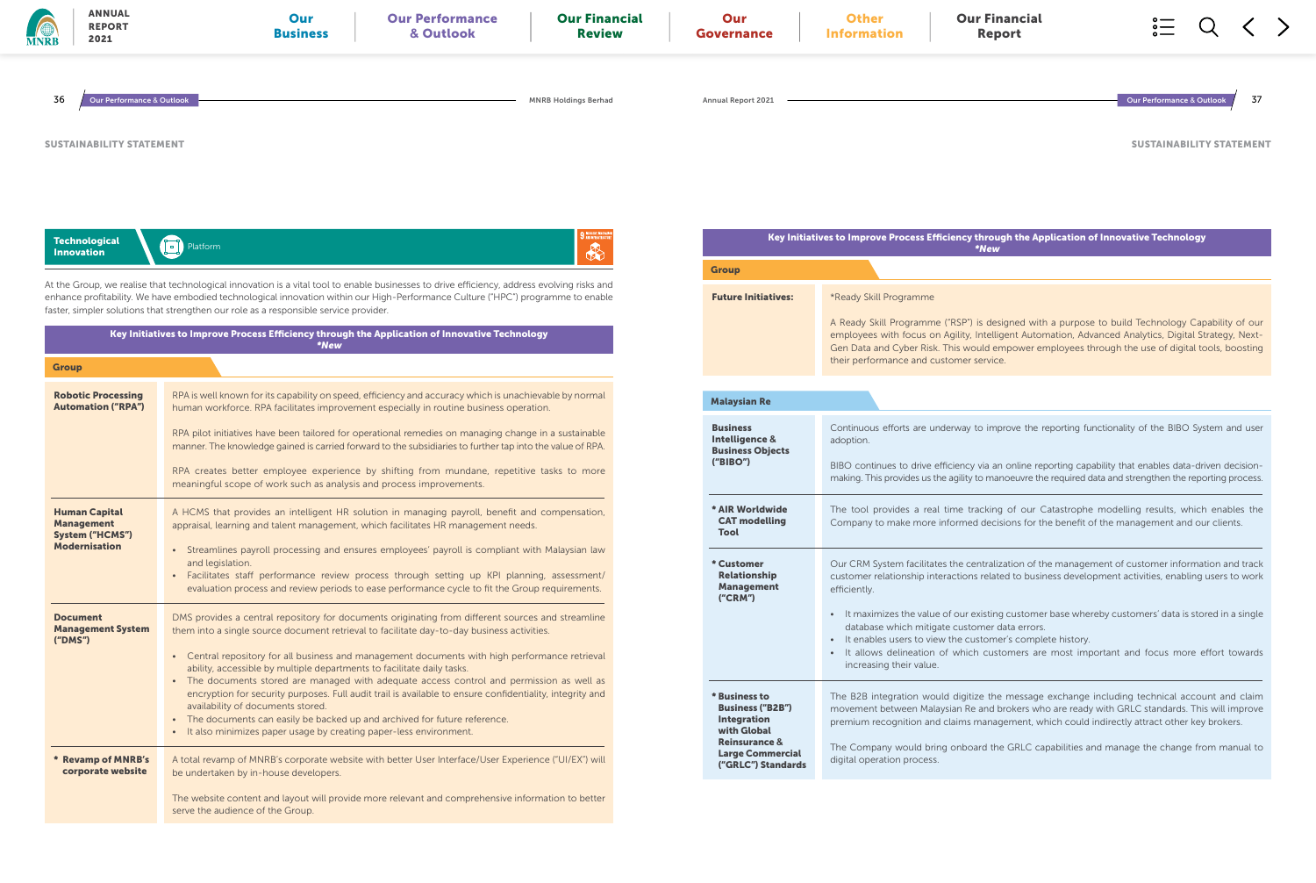### ncy through the Application of Innovative Technology \*New

| <b>MNRB</b> |                            | <b>ANNUAL</b><br><b>REPORT</b><br>2021                                                      | Our<br><b>Business</b>                                                                                                                                                                                                                                                                                                                                                                                                                                                                           | <b>Our Performance</b><br>& Outlook                                                                      | <b>Our Financial</b><br><b>Review</b>        | Our<br>Governance                                                                                  | <b>Other</b><br><b>Information</b>                                | <b>Our Financial</b><br><b>Report</b>                                                                                                                                                                                                                                                                                    |                                      |     |
|-------------|----------------------------|---------------------------------------------------------------------------------------------|--------------------------------------------------------------------------------------------------------------------------------------------------------------------------------------------------------------------------------------------------------------------------------------------------------------------------------------------------------------------------------------------------------------------------------------------------------------------------------------------------|----------------------------------------------------------------------------------------------------------|----------------------------------------------|----------------------------------------------------------------------------------------------------|-------------------------------------------------------------------|--------------------------------------------------------------------------------------------------------------------------------------------------------------------------------------------------------------------------------------------------------------------------------------------------------------------------|--------------------------------------|-----|
|             | 36                         | <b>Our Performance &amp; Outlook</b>                                                        |                                                                                                                                                                                                                                                                                                                                                                                                                                                                                                  |                                                                                                          | <b>MNRB Holdings Berhad</b>                  | <b>Annual Report 2021</b>                                                                          |                                                                   |                                                                                                                                                                                                                                                                                                                          | <b>Our Performance &amp; Outlook</b> | -37 |
|             |                            | <b>SUSTAINABILITY STATEMENT</b>                                                             |                                                                                                                                                                                                                                                                                                                                                                                                                                                                                                  |                                                                                                          |                                              |                                                                                                    |                                                                   |                                                                                                                                                                                                                                                                                                                          | <b>SUSTAINABILITY STATEMEI</b>       |     |
|             |                            | <b>Technological</b><br><b>Innovation</b>                                                   | Platform                                                                                                                                                                                                                                                                                                                                                                                                                                                                                         |                                                                                                          | 9 INDUSTRY, INNOVA<br>3 AND INFRASTRUCT<br>R | <b>Group</b>                                                                                       |                                                                   | Key Initiatives to Improve Process Efficiency through the Application of Innovative Technology<br>*New                                                                                                                                                                                                                   |                                      |     |
|             | <b>Group</b>               |                                                                                             | At the Group, we realise that technological innovation is a vital tool to enable businesses to drive efficiency, address evolving risks and<br>enhance profitability. We have embodied technological innovation within our High-Performance Culture ("HPC") programme to enable<br>faster, simpler solutions that strengthen our role as a responsible service provider.<br>Key Initiatives to Improve Process Efficiency through the Application of Innovative Technology<br><i><b>*New</b></i> |                                                                                                          |                                              | <b>Future Initiatives:</b>                                                                         | *Ready Skill Programme<br>their performance and customer service. | A Ready Skill Programme ("RSP") is designed with a purpose to build Technology Capability of our<br>employees with focus on Agility, Intelligent Automation, Advanced Analytics, Digital Strategy, Next<br>Gen Data and Cyber Risk. This would empower employees through the use of digital tools, boosting              |                                      |     |
|             |                            | <b>Robotic Processing</b><br><b>Automation ("RPA")</b>                                      | RPA is well known for its capability on speed, efficiency and accuracy which is unachievable by normal<br>human workforce. RPA facilitates improvement especially in routine business operation.                                                                                                                                                                                                                                                                                                 |                                                                                                          |                                              | <b>Malaysian Re</b>                                                                                |                                                                   |                                                                                                                                                                                                                                                                                                                          |                                      |     |
|             |                            |                                                                                             | RPA pilot initiatives have been tailored for operational remedies on managing change in a sustainable<br>manner. The knowledge gained is carried forward to the subsidiaries to further tap into the value of RPA.<br>RPA creates better employee experience by shifting from mundane, repetitive tasks to more<br>meaningful scope of work such as analysis and process improvements.                                                                                                           |                                                                                                          |                                              | <b>Business</b><br>Intelligence &<br><b>Business Objects</b><br>("BIBO")                           | adoption.                                                         | Continuous efforts are underway to improve the reporting functionality of the BIBO System and use<br>BIBO continues to drive efficiency via an online reporting capability that enables data-driven decision<br>making. This provides us the agility to manoeuvre the required data and strengthen the reporting process |                                      |     |
|             |                            | <b>Human Capital</b><br><b>Management</b><br><b>System ("HCMS")</b><br><b>Modernisation</b> | A HCMS that provides an intelligent HR solution in managing payroll, benefit and compensation,<br>appraisal, learning and talent management, which facilitates HR management needs.<br>• Streamlines payroll processing and ensures employees' payroll is compliant with Malaysian law                                                                                                                                                                                                           |                                                                                                          |                                              | * AIR Worldwide<br><b>CAT modelling</b><br><b>Tool</b>                                             |                                                                   | The tool provides a real time tracking of our Catastrophe modelling results, which enables the<br>Company to make more informed decisions for the benefit of the management and our clients.                                                                                                                             |                                      |     |
|             |                            |                                                                                             | and legislation.<br>· Facilitates staff performance review process through setting up KPI planning, assessment/                                                                                                                                                                                                                                                                                                                                                                                  | evaluation process and review periods to ease performance cycle to fit the Group requirements.           |                                              | * Customer<br>Relationship<br><b>Management</b><br>('CRM')                                         | efficiently.                                                      | Our CRM System facilitates the centralization of the management of customer information and tracl<br>customer relationship interactions related to business development activities, enabling users to worl                                                                                                               |                                      |     |
|             | <b>Document</b><br>("DMS") | <b>Management System</b>                                                                    | DMS provides a central repository for documents originating from different sources and streamline<br>them into a single source document retrieval to facilitate day-to-day business activities.<br>• Central repository for all business and management documents with high performance retrieval<br>ability, accessible by multiple departments to facilitate daily tasks.                                                                                                                      |                                                                                                          |                                              |                                                                                                    | increasing their value.                                           | • It maximizes the value of our existing customer base whereby customers' data is stored in a single<br>database which mitigate customer data errors.<br>• It enables users to view the customer's complete history.<br>• It allows delineation of which customers are most important and focus more effort toward       |                                      |     |
|             |                            |                                                                                             | • The documents stored are managed with adequate access control and permission as well as<br>availability of documents stored.<br>• The documents can easily be backed up and archived for future reference.<br>• It also minimizes paper usage by creating paper-less environment.                                                                                                                                                                                                              | encryption for security purposes. Full audit trail is available to ensure confidentiality, integrity and |                                              | * Business to<br><b>Business ("B2B")</b><br>Integration<br>with Global<br><b>Reinsurance &amp;</b> |                                                                   | The B2B integration would digitize the message exchange including technical account and clain<br>movement between Malaysian Re and brokers who are ready with GRLC standards. This will improve<br>premium recognition and claims management, which could indirectly attract other key brokers.                          |                                      |     |
|             |                            | * Revamp of MNRB's<br>corporate website                                                     | A total revamp of MNRB's corporate website with better User Interface/User Experience ("UI/EX") will<br>be undertaken by in-house developers.                                                                                                                                                                                                                                                                                                                                                    |                                                                                                          |                                              | <b>Large Commercial</b><br>("GRLC") Standards                                                      | digital operation process.                                        | The Company would bring onboard the GRLC capabilities and manage the change from manual to                                                                                                                                                                                                                               |                                      |     |

The website content and layout will provide more relevant and comprehensive information to better

serve the audience of the Group.

SUSTAINABILITY STATEMENT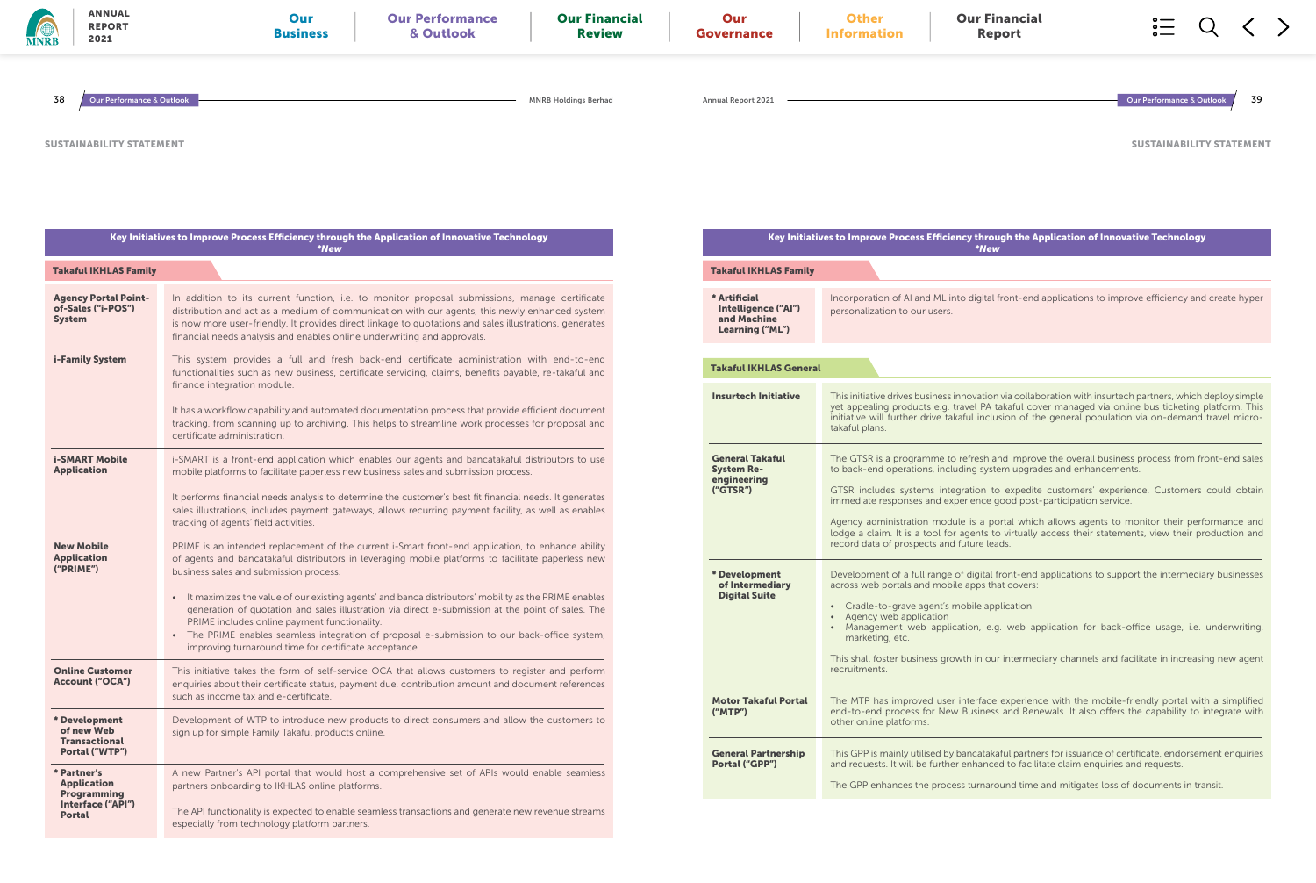### ncy through the Application of Innovative Technology \*New

SUSTAINABILITY STATEMENT

| <b>MNRB</b> | <b>ANNUAL</b><br><b>REPORT</b><br>2021                                                 | Our<br><b>Our Performance</b><br>& Outlook<br><b>Business</b>                                                                                                                                                                                                                                                                                                                                                                                                                                                                                                                                                                                                             | <b>Our Financial</b><br><b>Review</b> | Our<br><b>Governance</b>                                               | <b>Other</b><br><b>Information</b>          | <b>Our Financial</b><br><b>Report</b>                                                                                                                                                                                                                                                                                                                                                                                                                                                                                                                   |                                      |     |
|-------------|----------------------------------------------------------------------------------------|---------------------------------------------------------------------------------------------------------------------------------------------------------------------------------------------------------------------------------------------------------------------------------------------------------------------------------------------------------------------------------------------------------------------------------------------------------------------------------------------------------------------------------------------------------------------------------------------------------------------------------------------------------------------------|---------------------------------------|------------------------------------------------------------------------|---------------------------------------------|---------------------------------------------------------------------------------------------------------------------------------------------------------------------------------------------------------------------------------------------------------------------------------------------------------------------------------------------------------------------------------------------------------------------------------------------------------------------------------------------------------------------------------------------------------|--------------------------------------|-----|
| 38          | Our Performance & Outlook                                                              |                                                                                                                                                                                                                                                                                                                                                                                                                                                                                                                                                                                                                                                                           | <b>MNRB Holdings Berhad</b>           | <b>Annual Report 2021</b>                                              |                                             |                                                                                                                                                                                                                                                                                                                                                                                                                                                                                                                                                         | <b>Our Performance &amp; Outlook</b> | -39 |
|             | <b>SUSTAINABILITY STATEMENT</b>                                                        |                                                                                                                                                                                                                                                                                                                                                                                                                                                                                                                                                                                                                                                                           |                                       |                                                                        |                                             |                                                                                                                                                                                                                                                                                                                                                                                                                                                                                                                                                         | <b>SUSTAINABILITY STATEMEI</b>       |     |
|             |                                                                                        | Key Initiatives to Improve Process Efficiency through the Application of Innovative Technology<br>*New                                                                                                                                                                                                                                                                                                                                                                                                                                                                                                                                                                    |                                       |                                                                        |                                             | Key Initiatives to Improve Process Efficiency through the Application of Innovative Technology<br><i><b>*New</b></i>                                                                                                                                                                                                                                                                                                                                                                                                                                    |                                      |     |
|             | <b>Takaful IKHLAS Family</b>                                                           |                                                                                                                                                                                                                                                                                                                                                                                                                                                                                                                                                                                                                                                                           |                                       | <b>Takaful IKHLAS Family</b>                                           |                                             |                                                                                                                                                                                                                                                                                                                                                                                                                                                                                                                                                         |                                      |     |
|             | <b>Agency Portal Point-</b><br>of-Sales ("i-POS")<br><b>System</b>                     | In addition to its current function, i.e. to monitor proposal submissions, manage certificate<br>distribution and act as a medium of communication with our agents, this newly enhanced system<br>is now more user-friendly. It provides direct linkage to quotations and sales illustrations, generates<br>financial needs analysis and enables online underwriting and approvals.                                                                                                                                                                                                                                                                                       |                                       | * Artificial<br>Intelligence ("AI")<br>and Machine<br>Learning ("ML")  | personalization to our users.               | Incorporation of AI and ML into digital front-end applications to improve efficiency and create hype                                                                                                                                                                                                                                                                                                                                                                                                                                                    |                                      |     |
|             | <b>i-Family System</b>                                                                 | This system provides a full and fresh back-end certificate administration with end-to-end<br>functionalities such as new business, certificate servicing, claims, benefits payable, re-takaful and<br>finance integration module.                                                                                                                                                                                                                                                                                                                                                                                                                                         |                                       | <b>Takaful IKHLAS General</b>                                          |                                             |                                                                                                                                                                                                                                                                                                                                                                                                                                                                                                                                                         |                                      |     |
|             |                                                                                        | It has a workflow capability and automated documentation process that provide efficient document<br>tracking, from scanning up to archiving. This helps to streamline work processes for proposal and<br>certificate administration.                                                                                                                                                                                                                                                                                                                                                                                                                                      |                                       | <b>Insurtech Initiative</b>                                            | takaful plans.                              | This initiative drives business innovation via collaboration with insurtech partners, which deploy simple<br>yet appealing products e.g. travel PA takaful cover managed via online bus ticketing platform. Thi:<br>initiative will further drive takaful inclusion of the general population via on-demand travel micro-                                                                                                                                                                                                                               |                                      |     |
|             | <b>i-SMART Mobile</b><br><b>Application</b>                                            | i-SMART is a front-end application which enables our agents and bancatakaful distributors to use<br>mobile platforms to facilitate paperless new business sales and submission process.<br>It performs financial needs analysis to determine the customer's best fit financial needs. It generates<br>sales illustrations, includes payment gateways, allows recurring payment facility, as well as enables<br>tracking of agents' field activities.                                                                                                                                                                                                                      |                                       | <b>General Takaful</b><br><b>System Re-</b><br>engineering<br>('GTSR") |                                             | The GTSR is a programme to refresh and improve the overall business process from front-end sale<br>to back-end operations, including system upgrades and enhancements.<br>GTSR includes systems integration to expedite customers' experience. Customers could obtair<br>immediate responses and experience good post-participation service.<br>Agency administration module is a portal which allows agents to monitor their performance and<br>lodge a claim. It is a tool for agents to virtually access their statements, view their production and |                                      |     |
|             | <b>New Mobile</b><br><b>Application</b><br>("PRIME")                                   | PRIME is an intended replacement of the current i-Smart front-end application, to enhance ability<br>of agents and bancatakaful distributors in leveraging mobile platforms to facilitate paperless new<br>business sales and submission process.<br>• It maximizes the value of our existing agents' and banca distributors' mobility as the PRIME enables<br>generation of quotation and sales illustration via direct e-submission at the point of sales. The<br>PRIME includes online payment functionality.<br>• The PRIME enables seamless integration of proposal e-submission to our back-office system,<br>improving turnaround time for certificate acceptance. |                                       | * Development<br>of Intermediary<br><b>Digital Suite</b>               | • Agency web application<br>marketing, etc. | record data of prospects and future leads.<br>Development of a full range of digital front-end applications to support the intermediary businesse<br>across web portals and mobile apps that covers:<br>• Cradle-to-grave agent's mobile application<br>• Management web application, e.g. web application for back-office usage, i.e. underwriting                                                                                                                                                                                                     |                                      |     |
|             | <b>Online Customer</b><br><b>Account ("OCA")</b>                                       | This initiative takes the form of self-service OCA that allows customers to register and perform<br>enquiries about their certificate status, payment due, contribution amount and document references<br>such as income tax and e-certificate.                                                                                                                                                                                                                                                                                                                                                                                                                           |                                       | <b>Motor Takaful Portal</b>                                            | recruitments.                               | This shall foster business growth in our intermediary channels and facilitate in increasing new agen<br>The MTP has improved user interface experience with the mobile-friendly portal with a simplified                                                                                                                                                                                                                                                                                                                                                |                                      |     |
|             | * Development<br>of new Web<br><b>Transactional</b><br>Portal ("WTP")                  | Development of WTP to introduce new products to direct consumers and allow the customers to<br>sign up for simple Family Takaful products online.                                                                                                                                                                                                                                                                                                                                                                                                                                                                                                                         |                                       | ('MTP")<br><b>General Partnership</b>                                  | other online platforms.                     | end-to-end process for New Business and Renewals. It also offers the capability to integrate with<br>This GPP is mainly utilised by bancatakaful partners for issuance of certificate, endorsement enquiries                                                                                                                                                                                                                                                                                                                                            |                                      |     |
|             | * Partner's<br><b>Application</b><br>Programming<br>Interface ("API")<br><b>Portal</b> | A new Partner's API portal that would host a comprehensive set of APIs would enable seamless<br>partners onboarding to IKHLAS online platforms.<br>The API functionality is expected to enable seamless transactions and generate new revenue streams<br>especially from technology platform partners.                                                                                                                                                                                                                                                                                                                                                                    |                                       | <b>Portal ("GPP")</b>                                                  |                                             | and requests. It will be further enhanced to facilitate claim enquiries and requests.<br>The GPP enhances the process turnaround time and mitigates loss of documents in transit.                                                                                                                                                                                                                                                                                                                                                                       |                                      |     |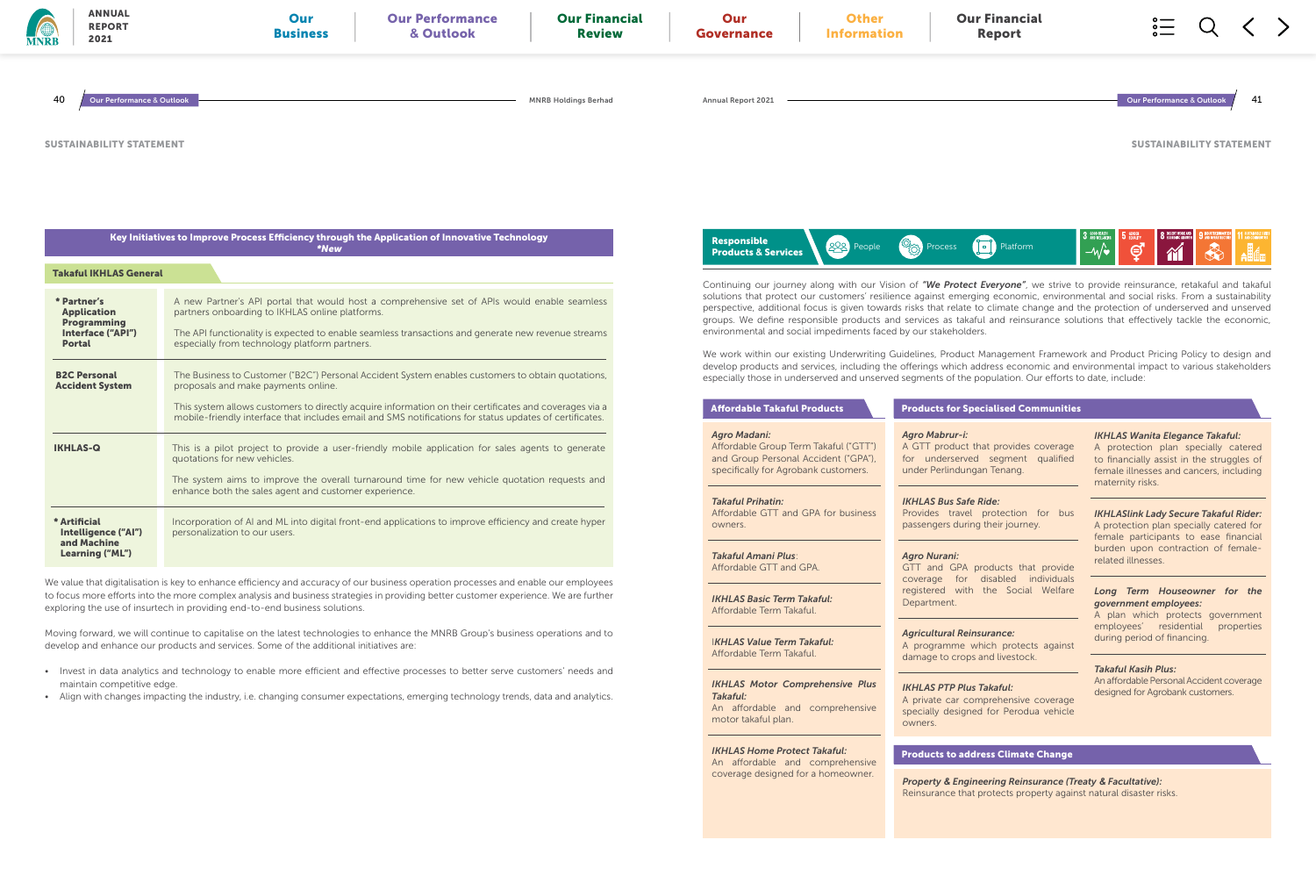We value that digitalisation is key to enhance efficiency and accuracy of our business operation processes and enable our employees to focus more efforts into the more complex analysis and business strategies in providing better customer experience. We are further exploring the use of insurtech in providing end-to-end business solutions.

Moving forward, we will continue to capitalise on the latest technologies to enhance the MNRB Group's business operations and to develop and enhance our products and services. Some of the additional initiatives are:

- Invest in data analytics and technology to enable more efficient and effective processes to better serve customers' needs and maintain competitive edge.
- Align with changes impacting the industry, i.e. changing consumer expectations, emerging technology trends, data and analytics.

GPA products that provide coverage for disabled individuals registered with the Social Welfare

| <b>ANNUAL</b><br><b>REPORT</b><br>2021<br><b>MNRB</b>                                                                                 | Our<br><b>Our Performance</b><br>& Outlook<br><b>Business</b>                                                                                                                                                                                                                                                                                                                                           | <b>Our Financial</b><br><b>Review</b> | Our<br>Governance                                                                                                                           | <b>Other</b><br><b>Information</b>                              | <b>Our Financial</b><br><b>Report</b>                                                                                                                                                                                                                                                                                                                                                                                                                                                                                                                                                                                                                       |                                                                                                                                                                                            |  |
|---------------------------------------------------------------------------------------------------------------------------------------|---------------------------------------------------------------------------------------------------------------------------------------------------------------------------------------------------------------------------------------------------------------------------------------------------------------------------------------------------------------------------------------------------------|---------------------------------------|---------------------------------------------------------------------------------------------------------------------------------------------|-----------------------------------------------------------------|-------------------------------------------------------------------------------------------------------------------------------------------------------------------------------------------------------------------------------------------------------------------------------------------------------------------------------------------------------------------------------------------------------------------------------------------------------------------------------------------------------------------------------------------------------------------------------------------------------------------------------------------------------------|--------------------------------------------------------------------------------------------------------------------------------------------------------------------------------------------|--|
| 40<br><b>Our Performance &amp; Outlook</b>                                                                                            |                                                                                                                                                                                                                                                                                                                                                                                                         | <b>MNRB Holdings Berhad</b>           | <b>Annual Report 2021</b>                                                                                                                   |                                                                 |                                                                                                                                                                                                                                                                                                                                                                                                                                                                                                                                                                                                                                                             | Our Performance & Outloo                                                                                                                                                                   |  |
| <b>SUSTAINABILITY STATEMENT</b>                                                                                                       |                                                                                                                                                                                                                                                                                                                                                                                                         |                                       |                                                                                                                                             |                                                                 |                                                                                                                                                                                                                                                                                                                                                                                                                                                                                                                                                                                                                                                             | <b>SUSTAINABILITY STATEMEI</b>                                                                                                                                                             |  |
|                                                                                                                                       | Key Initiatives to Improve Process Efficiency through the Application of Innovative Technology<br>*New                                                                                                                                                                                                                                                                                                  |                                       | <b>Responsible</b><br><b>Products &amp; Services</b>                                                                                        | 288<br>People                                                   | <b>Platform</b><br>Process                                                                                                                                                                                                                                                                                                                                                                                                                                                                                                                                                                                                                                  | 3 GOOD HEALTH<br>$-\sqrt{\bullet}$<br>$\bm{\Theta}$                                                                                                                                        |  |
| <b>Takaful IKHLAS General</b><br>* Partner's<br><b>Application</b><br><b>Programming</b><br><b>Interface ("API")</b><br><b>Portal</b> | A new Partner's API portal that would host a comprehensive set of APIs would enable seamless<br>partners onboarding to IKHLAS online platforms.<br>The API functionality is expected to enable seamless transactions and generate new revenue streams<br>especially from technology platform partners.                                                                                                  |                                       |                                                                                                                                             | environmental and social impediments faced by our stakeholders. | Continuing our journey along with our Vision of "We Protect Everyone", we strive to provide reinsurance, retakaful and taka<br>solutions that protect our customers' resilience against emerging economic, environmental and social risks. From a sustainabil<br>perspective, additional focus is given towards risks that relate to climate change and the protection of underserved and unserv<br>groups. We define responsible products and services as takaful and reinsurance solutions that effectively tackle the econom<br>We work within our existing Underwriting Guidelines, Product Management Framework and Product Pricing Policy to design a |                                                                                                                                                                                            |  |
| <b>B2C Personal</b><br><b>Accident System</b>                                                                                         | The Business to Customer ("B2C") Personal Accident System enables customers to obtain quotations,<br>proposals and make payments online.<br>This system allows customers to directly acquire information on their certificates and coverages via a                                                                                                                                                      |                                       | <b>Affordable Takaful Products</b>                                                                                                          |                                                                 | develop products and services, including the offerings which address economic and environmental impact to various stakehold<br>especially those in underserved and unserved segments of the population. Our efforts to date, include:<br><b>Products for Specialised Communities</b>                                                                                                                                                                                                                                                                                                                                                                        |                                                                                                                                                                                            |  |
| <b>IKHLAS-Q</b>                                                                                                                       | mobile-friendly interface that includes email and SMS notifications for status updates of certificates.<br>This is a pilot project to provide a user-friendly mobile application for sales agents to generate<br>quotations for new vehicles.<br>The system aims to improve the overall turnaround time for new vehicle quotation requests and<br>enhance both the sales agent and customer experience. |                                       | <b>Agro Madani:</b><br>Affordable Group Term Takaful ("GTT")<br>and Group Personal Accident ("GPA")<br>specifically for Agrobank customers. |                                                                 | <b>Agro Mabrur-i:</b><br>A GTT product that provides coverage<br>for underserved segment qualified<br>under Perlindungan Tenang.                                                                                                                                                                                                                                                                                                                                                                                                                                                                                                                            | <b>IKHLAS Wanita Elegance Takaful:</b><br>A protection plan specially catered<br>to financially assist in the struggles of<br>female illnesses and cancers, including<br>maternity risks.  |  |
| * Artificial<br>Intelligence ("AI")<br>and Machine<br>Learning ("ML")                                                                 | Incorporation of AI and ML into digital front-end applications to improve efficiency and create hyper<br>personalization to our users.                                                                                                                                                                                                                                                                  |                                       | <b>Takaful Prihatin:</b><br>Affordable GTT and GPA for business<br>owners.<br><b>Takaful Amani Plus:</b>                                    | <b>Agro Nurani:</b>                                             | <b>IKHLAS Bus Safe Ride:</b><br>Provides travel protection for bus<br>passengers during their journey.                                                                                                                                                                                                                                                                                                                                                                                                                                                                                                                                                      | <b>IKHLASlink Lady Secure Takaful Rider</b><br>A protection plan specially catered for<br>female participants to ease financia<br>burden upon contraction of female-<br>related illnesses. |  |
|                                                                                                                                       |                                                                                                                                                                                                                                                                                                                                                                                                         |                                       | Affordable GTT and GPA.                                                                                                                     |                                                                 | GTT and GPA products that provide                                                                                                                                                                                                                                                                                                                                                                                                                                                                                                                                                                                                                           |                                                                                                                                                                                            |  |



### for Specialised Communities

*IKHLAS Basic Term Takaful:* Affordable Term Takaful.

I*KHLAS Value Term Takaful:* Affordable Term Takaful.

*Takaful:*

motor takaful plan.

*IKHLAS Home Protect Takaful:* An affordable and comprehensive coverage designed for a homeowner.

### *Property & Engineering Reinsurance (Treaty & Facultative):*

Reinsurance that protects property against natural disaster risks.

*IKHLAS Motor Comprehensive Plus*  An affordable and comprehensive owners.

### *IKHLAS Bus Safe Ride:*

#### *Agro Nurani:*

Department.

### *Agricultural Reinsurance:*

A programme which protects against damage to crops and livestock.

### *IKHLAS PTP Plus Takaful:*

A private car comprehensive coverage specially designed for Perodua vehicle

### *IKHLAS Wanita Elegance Takaful:*

#### *Long Term Houseowner for the government employees:*

A plan which protects government employees' residential properties during period of financing.

#### *Takaful Kasih Plus:*

An affordable Personal Accident coverage designed for Agrobank customers.

### Products to address Climate Change

### rur-i: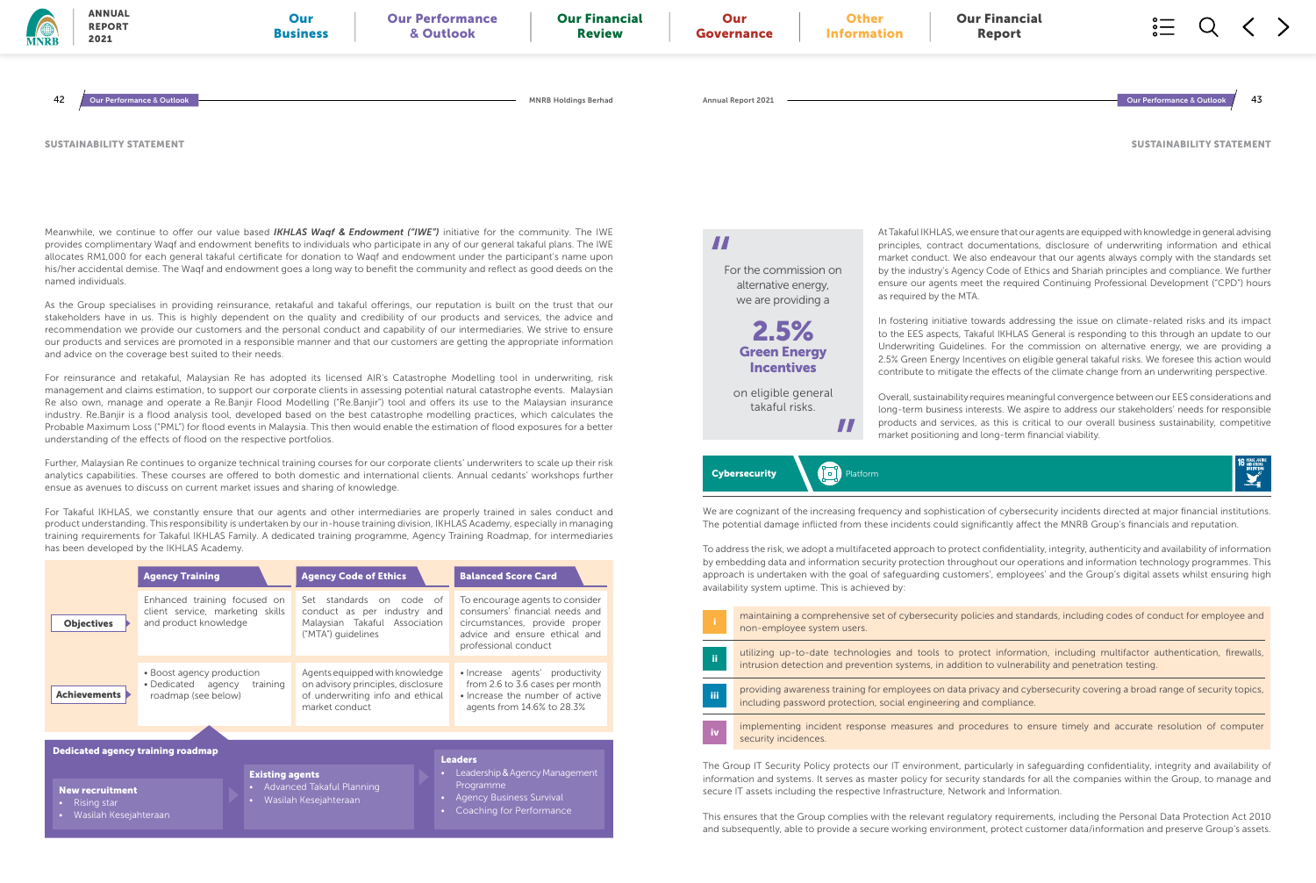Meanwhile, we continue to offer our value based *IKHLAS Waqf & Endowment ("IWE")* initiative for the community. The IWE provides complimentary Waqf and endowment benefits to individuals who participate in any of our general takaful plans. The IWE allocates RM1,000 for each general takaful certificate for donation to Waqf and endowment under the participant's name upon his/her accidental demise. The Waqf and endowment goes a long way to benefit the community and reflect as good deeds on the named individuals.

As the Group specialises in providing reinsurance, retakaful and takaful offerings, our reputation is built on the trust that our stakeholders have in us. This is highly dependent on the quality and credibility of our products and services, the advice and recommendation we provide our customers and the personal conduct and capability of our intermediaries. We strive to ensure our products and services are promoted in a responsible manner and that our customers are getting the appropriate information and advice on the coverage best suited to their needs.

For reinsurance and retakaful, Malaysian Re has adopted its licensed AIR's Catastrophe Modelling tool in underwriting, risk management and claims estimation, to support our corporate clients in assessing potential natural catastrophe events. Malaysian Re also own, manage and operate a Re.Banjir Flood Modelling ("Re.Banjir") tool and offers its use to the Malaysian insurance industry. Re.Banjir is a flood analysis tool, developed based on the best catastrophe modelling practices, which calculates the Probable Maximum Loss ("PML") for flood events in Malaysia. This then would enable the estimation of flood exposures for a better understanding of the effects of flood on the respective portfolios.

Further, Malaysian Re continues to organize technical training courses for our corporate clients' underwriters to scale up their risk analytics capabilities. These courses are offered to both domestic and international clients. Annual cedants' workshops further ensue as avenues to discuss on current market issues and sharing of knowledge.

For Takaful IKHLAS, we constantly ensure that our agents and other intermediaries are properly trained in sales conduct and product understanding. This responsibility is undertaken by our in-house training division, IKHLAS Academy, especially in managing training requirements for Takaful IKHLAS Family. A dedicated training programme, Agency Training Roadmap, for intermediaries has been developed by the IKHLAS Academy.

|                                          | <b>Agency Training</b>                                                                    | <b>Agency Code of Ethics</b>                                                                                               | <b>Balanced Score Card</b>                                                                                                                                  |
|------------------------------------------|-------------------------------------------------------------------------------------------|----------------------------------------------------------------------------------------------------------------------------|-------------------------------------------------------------------------------------------------------------------------------------------------------------|
| <b>Objectives</b>                        | Enhanced training focused on<br>client service, marketing skills<br>and product knowledge | Set standards<br>on code of<br>conduct as per industry and<br>Malaysian Takaful Association<br>("MTA") guidelines          | To encourage agents to consider<br>consumers' financial needs and<br>circumstances, provide proper<br>advice and ensure ethical and<br>professional conduct |
| <b>Achievements</b>                      | • Boost agency production<br>• Dedicated agency<br>training<br>roadmap (see below)        | Agents equipped with knowledge<br>on advisory principles, disclosure<br>of underwriting info and ethical<br>market conduct | • Increase agents' productivity<br>from 2.6 to 3.6 cases per month<br>• Increase the number of active<br>agents from 14.6% to 28.3%                         |
|                                          |                                                                                           |                                                                                                                            |                                                                                                                                                             |
| <b>Dedicated agency training roadmap</b> |                                                                                           |                                                                                                                            | <b>Leaders</b>                                                                                                                                              |
| <b>New recruitment</b>                   | <b>Existing agents</b>                                                                    | $\bullet$ .<br>• Advanced Takaful Planning                                                                                 | Leadership & Agency Management<br>Programme                                                                                                                 |

• Rising star

• Wasilah Kesejahteraan

## 2.5% Green Energy **Incentives**

• Wasilah Kesejahteraan



- Agency Business Survival
- Coaching for Performance

## $\boldsymbol{\mathcal{H}}$

SUSTAINABILITY STATEMENT

AND STRO

At Takaful IKHLAS, we ensure that our agents are equipped with knowledge in general advising principles, contract documentations, disclosure of underwriting information and ethical market conduct. We also endeavour that our agents always comply with the standards set by the industry's Agency Code of Ethics and Shariah principles and compliance. We further ensure our agents meet the required Continuing Professional Development ("CPD") hours as required by the MTA.

In fostering initiative towards addressing the issue on climate-related risks and its impact to the EES aspects, Takaful IKHLAS General is responding to this through an update to our Underwriting Guidelines. For the commission on alternative energy, we are providing a 2.5% Green Energy Incentives on eligible general takaful risks. We foresee this action would contribute to mitigate the effects of the climate change from an underwriting perspective.

 $\boldsymbol{\mathcal{H}}$ 

Cybersecurity **Platform** 

Overall, sustainability requires meaningful convergence between our EES considerations and long-term business interests. We aspire to address our stakeholders' needs for responsible products and services, as this is critical to our overall business sustainability, competitive market positioning and long-term financial viability.

ty policies and standards, including codes of conduct for employee and

protect information, including multifactor authentication, firewalls, ddition to vulnerability and penetration testing.

data privacy and cybersecurity covering a broad range of security topics, ng and compliance.

d procedures to ensure timely and accurate resolution of computer

We are cognizant of the increasing frequency and sophistication of cybersecurity incidents directed at major financial institutions. The potential damage inflicted from these incidents could significantly affect the MNRB Group's financials and reputation.

To address the risk, we adopt a multifaceted approach to protect confidentiality, integrity, authenticity and availability of information by embedding data and information security protection throughout our operations and information technology programmes. This approach is undertaken with the goal of safeguarding customers', employees' and the Group's digital assets whilst ensuring high availability system uptime. This is achieved by:

The Group IT Security Policy protects our IT environment, particularly in safeguarding confidentiality, integrity and availability of information and systems. It serves as master policy for security standards for all the companies within the Group, to manage and secure IT assets including the respective Infrastructure, Network and Information.

This ensures that the Group complies with the relevant regulatory requirements, including the Personal Data Protection Act 2010 and subsequently, able to provide a secure working environment, protect customer data/information and preserve Group's assets.

| ĩ   | maintaining a comprehensive set of cybersecuri<br>non-employee system users.                       |
|-----|----------------------------------------------------------------------------------------------------|
| ii  | utilizing up-to-date technologies and tools to<br>intrusion detection and prevention systems, in a |
| iΪi | providing awareness training for employees on o<br>including password protection, social engineeri |
| iv  | implementing incident response measures and<br>security incidences.                                |

For the commission on alternative energy, we are providing a

on eligible general takaful risks.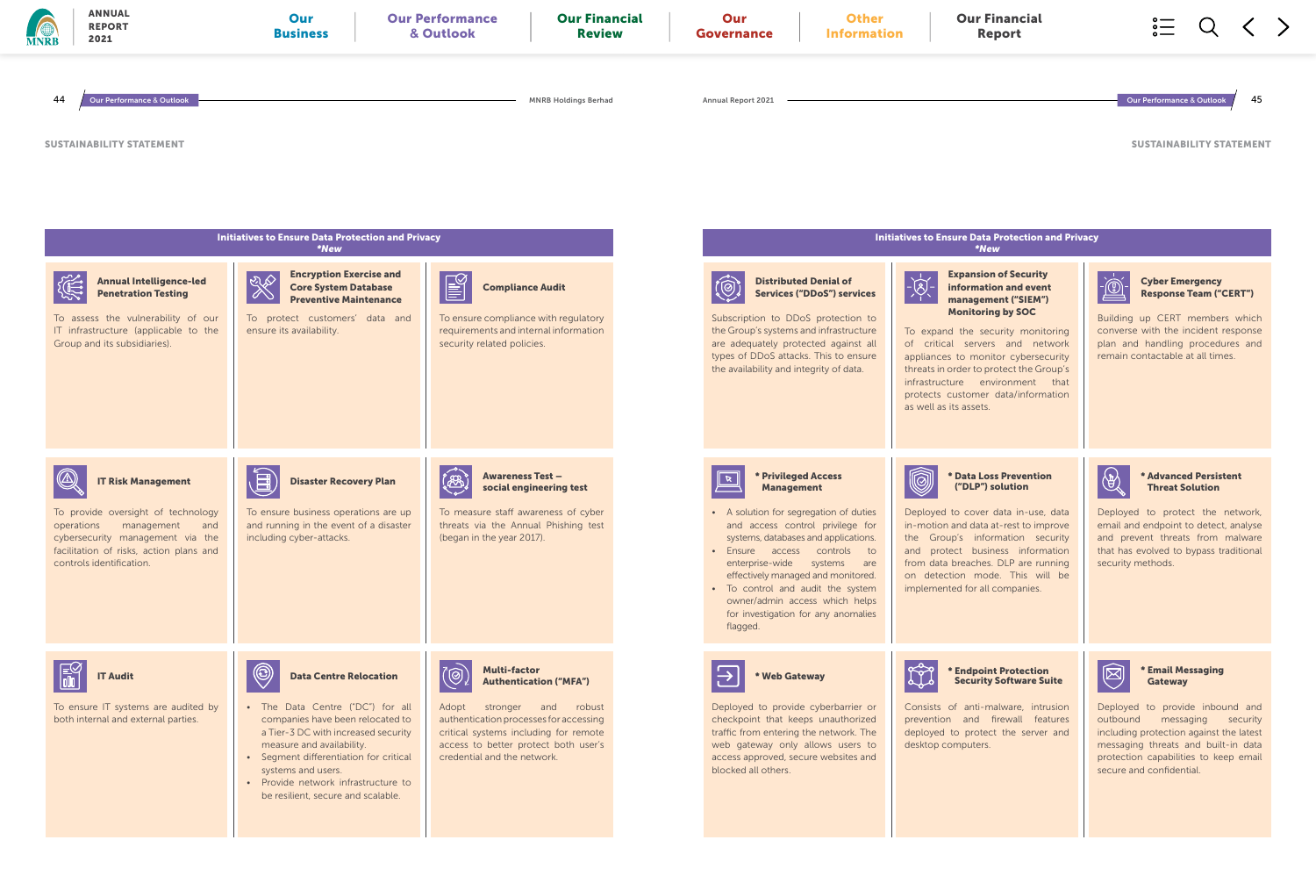### Initiatives to Ensure Data Protection and Privacy \*New

### \* Email Messaging **Gateway**

### Expansion of Security information and event management ("SIEM") Monitoring by SOC

To expand the security monitoring of critical servers and network appliances to monitor cybersecurity threats in order to protect the Group's infrastructure environment that protects customer data/information



Cyber Emergency Response Team ("CERT")

Building up CERT members which converse with the incident response plan and handling procedures and remain contactable at all times.



### \* Data Loss Prevention ("DLP") solution

Deployed to cover data in-use, data in-motion and data at-rest to improve the Group's information security and protect business information from data breaches. DLP are running on detection mode. This will be implemented for all companies.



### \* Advanced Persistent Threat Solution

Deployed to protect the network, email and endpoint to detect, analyse and prevent threats from malware that has evolved to bypass traditional security methods.

### \* Endpoint Protection Security Software Suite

Consists of anti-malware, intrusion prevention and firewall features deployed to protect the server and



Deployed to provide inbound and outbound messaging security including protection against the latest messaging threats and built-in data protection capabilities to keep email secure and confidential.

SUSTAINABILITY STATEMENT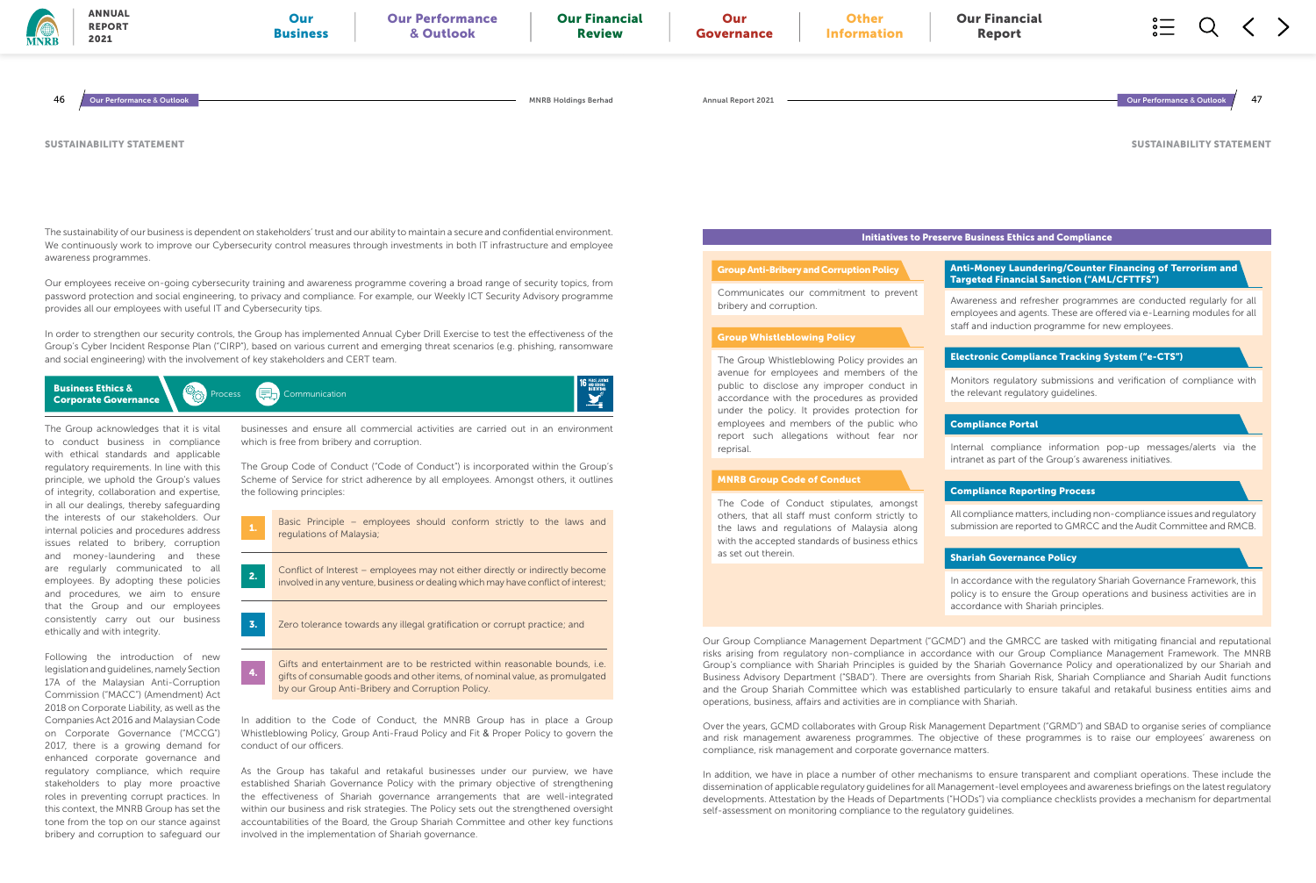The sustainability of our business is dependent on stakeholders' trust and our ability to maintain a secure and confidential environment. We continuously work to improve our Cybersecurity control measures through investments in both IT infrastructure and employee awareness programmes.

Business Ethics **& Business Ethics & Communication**<br>**Corporate Governance** Communication

Our employees receive on-going cybersecurity training and awareness programme covering a broad range of security topics, from password protection and social engineering, to privacy and compliance. For example, our Weekly ICT Security Advisory programme provides all our employees with useful IT and Cybersecurity tips.

In order to strengthen our security controls, the Group has implemented Annual Cyber Drill Exercise to test the effectiveness of the Group's Cyber Incident Response Plan ("CIRP"), based on various current and emerging threat scenarios (e.g. phishing, ransomware and social engineering) with the involvement of key stakeholders and CERT team.

> Basic Principle – employees should conform strictly to the laws and regulations of Malaysia;

Conflict of Interest – employees may not either directly or indirectly become **2.** Connect of interest – employees may not entier directly of indirectly become involved in any venture, business or dealing which may have conflict of interest;

**3.** Zero tolerance towards any illegal gratification or corrupt practice; and

The Group acknowledges that it is vital to conduct business in compliance with ethical standards and applicable regulatory requirements. In line with this principle, we uphold the Group's values of integrity, collaboration and expertise, in all our dealings, thereby safeguarding the interests of our stakeholders. Our internal policies and procedures address issues related to bribery, corruption and money-laundering and these are regularly communicated to all employees. By adopting these policies and procedures, we aim to ensure that the Group and our employees consistently carry out our business ethically and with integrity.

Following the introduction of new legislation and guidelines, namely Section 17A of the Malaysian Anti-Corruption Commission ("MACC") (Amendment) Act 2018 on Corporate Liability, as well as the Companies Act 2016 and Malaysian Code on Corporate Governance ("MCCG") 2017, there is a growing demand for enhanced corporate governance and regulatory compliance, which require stakeholders to play more proactive roles in preventing corrupt practices. In this context, the MNRB Group has set the tone from the top on our stance against bribery and corruption to safeguard our

Gifts and entertainment are to be restricted within reasonable bounds, i.e. gifts of consumable goods and other items, of nominal value, as promulgated by our Group Anti-Bribery and Corruption Policy.

4.

In addition to the Code of Conduct, the MNRB Group has in place a Group Whistleblowing Policy, Group Anti-Fraud Policy and Fit & Proper Policy to govern the conduct of our officers.

As the Group has takaful and retakaful businesses under our purview, we have established Shariah Governance Policy with the primary objective of strengthening the effectiveness of Shariah governance arrangements that are well-integrated within our business and risk strategies. The Policy sets out the strengthened oversight accountabilities of the Board, the Group Shariah Committee and other key functions involved in the implementation of Shariah governance.



businesses and ensure all commercial activities are carried out in an environment which is free from bribery and corruption.

The Group Code of Conduct ("Code of Conduct") is incorporated within the Group's Scheme of Service for strict adherence by all employees. Amongst others, it outlines the following principles:

SUSTAINABILITY STATEMENT

operations, business, affairs and activities are in compliance with Shariah.

compliance, risk management and corporate governance matters.

self-assessment on monitoring compliance to the regulatory guidelines.

Initiatives to Preserve Business Ethics and Compliance

Communicates our commitment to prevent bribery and corruption.

### Group Anti-Bribery and Corruption Policy

The Group Whistleblowing Policy provides an avenue for employees and members of the public to disclose any improper conduct in accordance with the procedures as provided under the policy. It provides protection for employees and members of the public who report such allegations without fear nor reprisal.

### Group Whistleblowing Policy

The Code of Conduct stipulates, amongst others, that all staff must conform strictly to the laws and regulations of Malaysia along with the accepted standards of business ethics as set out therein.

- In accordance with the regulatory Shariah Governance Framework, this policy is to ensure the Group operations and business activities are in accordance with Shariah principles.
- Our Group Compliance Management Department ("GCMD") and the GMRCC are tasked with mitigating financial and reputational risks arising from regulatory non-compliance in accordance with our Group Compliance Management Framework. The MNRB Group's compliance with Shariah Principles is guided by the Shariah Governance Policy and operationalized by our Shariah and Business Advisory Department ("SBAD"). There are oversights from Shariah Risk, Shariah Compliance and Shariah Audit functions and the Group Shariah Committee which was established particularly to ensure takaful and retakaful business entities aims and
- Over the years, GCMD collaborates with Group Risk Management Department ("GRMD") and SBAD to organise series of compliance and risk management awareness programmes. The objective of these programmes is to raise our employees' awareness on
- In addition, we have in place a number of other mechanisms to ensure transparent and compliant operations. These include the dissemination of applicable regulatory guidelines for all Management-level employees and awareness briefings on the latest regulatory developments. Attestation by the Heads of Departments ("HODs") via compliance checklists provides a mechanism for departmental

### MNRB Group Code of Conduct

- Anti-Money Laundering/Counter Financing of Terrorism and Targeted Financial Sanction ("AML/CFTTFS")
- Awareness and refresher programmes are conducted regularly for all employees and agents. These are offered via e-Learning modules for all staff and induction programme for new employees.
- Electronic Compliance Tracking System ("e-CTS")
- Monitors regulatory submissions and verification of compliance with the relevant regulatory guidelines.

Internal compliance information pop-up messages/alerts via the intranet as part of the Group's awareness initiatives.

### Compliance Portal

All compliance matters, including non-compliance issues and regulatory submission are reported to GMRCC and the Audit Committee and RMCB.

### Compliance Reporting Process

### Shariah Governance Policy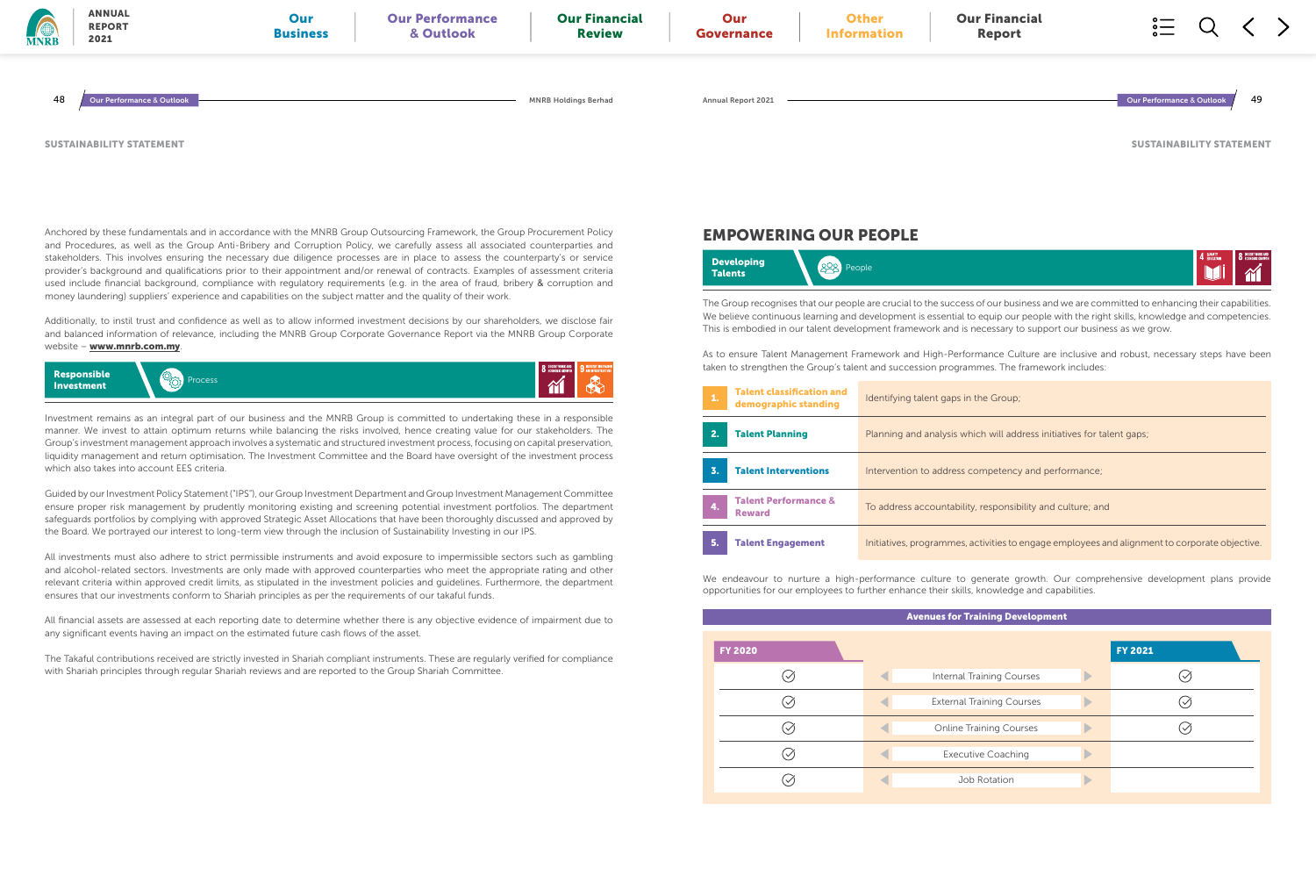Additionally, to instil trust and confidence as well as to allow informed investment decisions by our shareholders, we disclose fair and balanced information of relevance, including the MNRB Group Corporate Governance Report via the MNRB Group Corporate website - www.mnrb.com.my.

Anchored by these fundamentals and in accordance with the MNRB Group Outsourcing Framework, the Group Procurement Policy and Procedures, as well as the Group Anti-Bribery and Corruption Policy, we carefully assess all associated counterparties and stakeholders. This involves ensuring the necessary due diligence processes are in place to assess the counterparty's or service provider's background and qualifications prior to their appointment and/or renewal of contracts. Examples of assessment criteria used include financial background, compliance with regulatory requirements (e.g. in the area of fraud, bribery & corruption and money laundering) suppliers' experience and capabilities on the subject matter and the quality of their work.

SUSTAINABILITY STATEMENT



Investment remains as an integral part of our business and the MNRB Group is committed to undertaking these in a responsible manner. We invest to attain optimum returns while balancing the risks involved, hence creating value for our stakeholders. The Group's investment management approach involves a systematic and structured investment process, focusing on capital preservation, liquidity management and return optimisation. The Investment Committee and the Board have oversight of the investment process which also takes into account EES criteria.

Guided by our Investment Policy Statement ("IPS"), our Group Investment Department and Group Investment Management Committee ensure proper risk management by prudently monitoring existing and screening potential investment portfolios. The department safeguards portfolios by complying with approved Strategic Asset Allocations that have been thoroughly discussed and approved by the Board. We portrayed our interest to long-term view through the inclusion of Sustainability Investing in our IPS.



All investments must also adhere to strict permissible instruments and avoid exposure to impermissible sectors such as gambling and alcohol-related sectors. Investments are only made with approved counterparties who meet the appropriate rating and other relevant criteria within approved credit limits, as stipulated in the investment policies and guidelines. Furthermore, the department ensures that our investments conform to Shariah principles as per the requirements of our takaful funds.

All financial assets are assessed at each reporting date to determine whether there is any objective evidence of impairment due to any significant events having an impact on the estimated future cash flows of the asset.

The Takaful contributions received are strictly invested in Shariah compliant instruments. These are regularly verified for compliance with Shariah principles through regular Shariah reviews and are reported to the Group Shariah Committee.

SUSTAINABILITY STATEMENT



aps in the Group;

sis which will address initiatives for talent gaps;

Iress competency and performance;

tability, responsibility and culture; and

Imes, activities to engage employees and alignment to corporate objective.

## EMPOWERING OUR PEOPLE



The Group recognises that our people are crucial to the success of our business and we are committed to enhancing their capabilities. We believe continuous learning and development is essential to equip our people with the right skills, knowledge and competencies. This is embodied in our talent development framework and is necessary to support our business as we grow.

As to ensure Talent Management Framework and High-Performance Culture are inclusive and robust, necessary steps have been taken to strengthen the Group's talent and succession programmes. The framework includes:

We endeavour to nurture a high-performance culture to generate growth. Our comprehensive development plans provide opportunities for our employees to further enhance their skills, knowledge and capabilities.

### Avenues for Training Development

|                           | <b>FY 2021</b> |
|---------------------------|----------------|
| ernal Training Courses    |                |
| ternal Training Courses   |                |
| nline Training Courses    |                |
| <b>Executive Coaching</b> |                |
| Job Rotation              |                |
|                           |                |

| 1. | <b>Talent classification and</b><br>demographic standing | Identifying talent g |
|----|----------------------------------------------------------|----------------------|
| 2. | <b>Talent Planning</b>                                   | Planning and analy   |
| 3. | <b>Talent Interventions</b>                              | Intervention to add  |
| 4. | <b>Talent Performance &amp;</b><br><b>Reward</b>         | To address accoun    |
| 5. | <b>Talent Engagement</b>                                 | Initiatives, program |

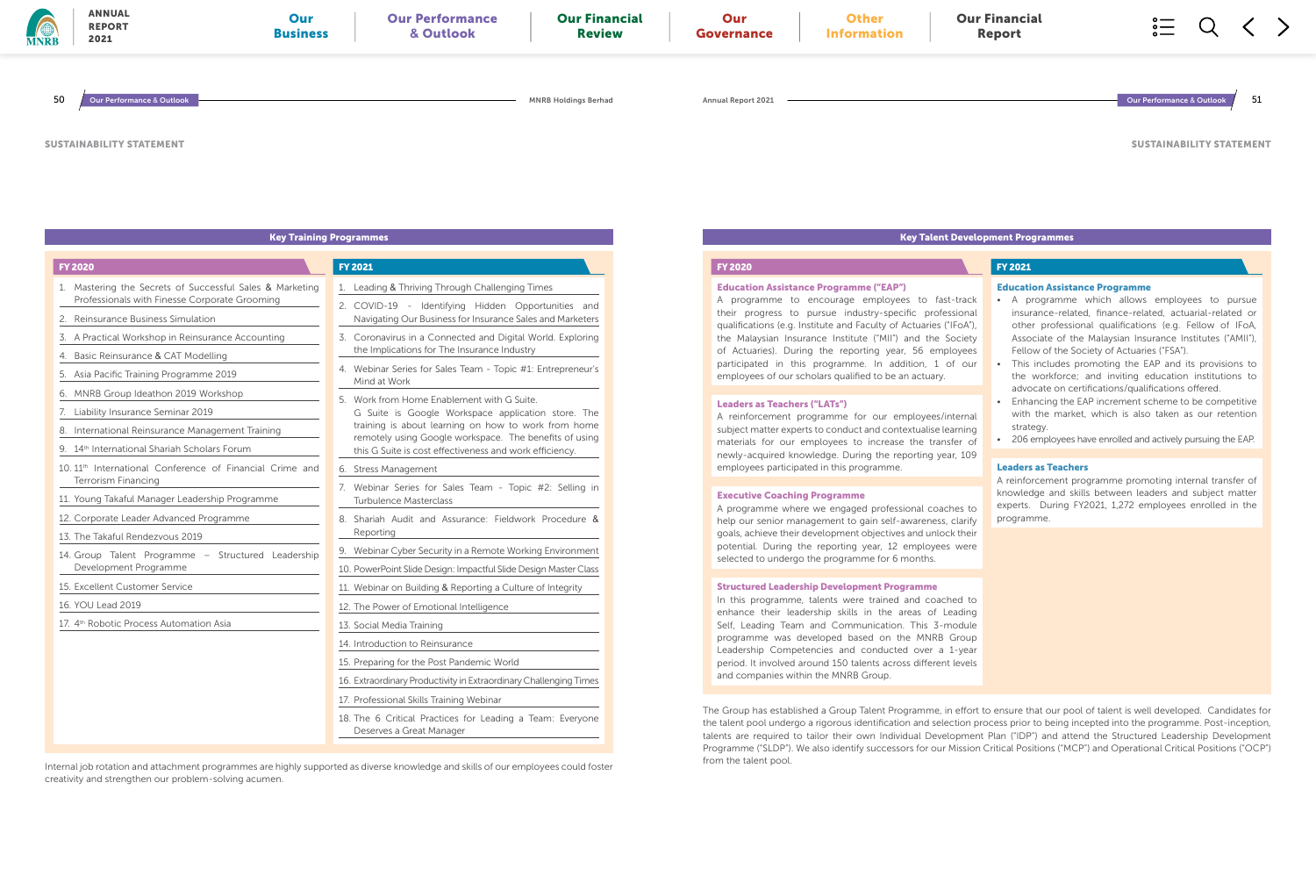|  | <b>Key Training Programmes</b> |  |  |
|--|--------------------------------|--|--|
|--|--------------------------------|--|--|

1. Leading & Thriving Through Challenging Times

2. COVID-19 - Identifying Hidden Opportunities and Navigating Our Business for Insurance Sales and Marketers 3. Coronavirus in a Connected and Digital World. Exploring the Implications for The Insurance Industry 4. Webinar Series for Sales Team - Topic #1: Entrepreneur's Mind at Work 5. Work from Home Enablement with G Suite. G Suite is Google Workspace application store. The training is about learning on how to work from home remotely using Google workspace. The benefits of using this G Suite is cost effectiveness and work efficiency.

- 4. Basic Reinsurance & CAT Modelling
- 5. Asia Pacific Training Programme 2019
- 6. MNRB Group Ideathon 2019 Workshop
- 7. Liability Insurance Seminar 2019
- 8. International Reinsurance Management Training
- 9. 14<sup>th</sup> International Shariah Scholars Forum
- 10. 11<sup>th</sup> International Conference of Financial Crime and Terrorism Financing
- 11. Young Takaful Manager Leadership Programme
- 12. Corporate Leader Advanced Programme
- 13. The Takaful Rendezvous 2019
- 14. Group Talent Programme Structured Leadership Development Programme
- 15. Excellent Customer Service
- 16. YOU Lead 2019
- 17. 4<sup>th</sup> Robotic Process Automation Asia
- 6. Stress Management
- 7. Webinar Series for Sales Team Topic #2: Selling in Turbulence Masterclass
- 8. Shariah Audit and Assurance: Fieldwork Procedure & Reporting
- 9. Webinar Cyber Security in a Remote Working Environment
- 10. PowerPoint Slide Design: Impactful Slide Design Master Class
- 11. Webinar on Building & Reporting a Culture of Integrity
- 12. The Power of Emotional Intelligence
- 13. Social Media Training
- 14. Introduction to Reinsurance
- 15. Preparing for the Post Pandemic World
- 16. Extraordinary Productivity in Extraordinary Challenging Times
- 17. Professional Skills Training Webinar
- 18. The 6 Critical Practices for Leading a Team: Everyone Deserves a Great Manager

### 1. Mastering the Secrets of Successful Sales & Marketing Professionals with Finesse Corporate Grooming

- 2. Reinsurance Business Simulation
- 3. A Practical Workshop in Reinsurance Accounting

FY 2020 FY 2021

Internal job rotation and attachment programmes are highly supported as diverse knowledge and skills of our employees could foster creativity and strengthen our problem-solving acumen.

SUSTAINABILITY STATEMENT

### Key Talent Development Programmes

| <b>ANNUAL</b><br>MNRB<br><b>REPORT</b><br>2021 | Our<br><b>Business</b> | <b>Our Performance</b><br>& Outlook | <b>Our Financial</b><br><b>Review</b> | Our<br>Governance         | <b>Other</b><br><b>Information</b> | <b>Our Financial</b><br><b>Report</b> | $\circ$ —<br>$\circ$ —<br>$\sim$<br>$\circ$ — |
|------------------------------------------------|------------------------|-------------------------------------|---------------------------------------|---------------------------|------------------------------------|---------------------------------------|-----------------------------------------------|
| 50<br>Our Performance & Outlook                |                        |                                     | <b>MNRB Holdings Berhad</b>           | <b>Annual Report 2021</b> |                                    |                                       | Our Performance & Outlook<br>51               |
| SUSTAINABILITY STATEMENT                       |                        |                                     |                                       |                           |                                    |                                       | <b>SUSTAINABILITY STATEMEI</b>                |
|                                                |                        |                                     |                                       |                           |                                    |                                       |                                               |

| <b>FY 2020</b>                                                                                                                                                                                                                                                                                                                                                                                                                                                             | <b>FY 2021</b>                                                                                                                                                                                                                                                                                                                                                                                                                             |  |  |  |  |
|----------------------------------------------------------------------------------------------------------------------------------------------------------------------------------------------------------------------------------------------------------------------------------------------------------------------------------------------------------------------------------------------------------------------------------------------------------------------------|--------------------------------------------------------------------------------------------------------------------------------------------------------------------------------------------------------------------------------------------------------------------------------------------------------------------------------------------------------------------------------------------------------------------------------------------|--|--|--|--|
| <b>Education Assistance Programme ("EAP")</b><br>A programme to encourage employees to fast-track<br>their progress to pursue industry-specific professional<br>qualifications (e.g. Institute and Faculty of Actuaries ("IFoA"),<br>the Malaysian Insurance Institute ("MII") and the Society<br>of Actuaries). During the reporting year, 56 employees<br>participated in this programme. In addition, 1 of our<br>employees of our scholars qualified to be an actuary. | <b>Education Assistance Programme</b><br>A programme which allows employees to pursue<br>insurance-related, finance-related, actuarial-related or<br>other professional qualifications (e.g. Fellow of IFoA,<br>Associate of the Malaysian Insurance Institutes ("AMII"),<br>Fellow of the Society of Actuaries ("FSA").<br>This includes promoting the EAP and its provisions to<br>the workforce; and inviting education institutions to |  |  |  |  |
| <b>Leaders as Teachers ("LATs")</b><br>A reinforcement programme for our employees/internal<br>subject matter experts to conduct and contextualise learning<br>materials for our employees to increase the transfer of                                                                                                                                                                                                                                                     | advocate on certifications/qualifications offered.<br>Enhancing the EAP increment scheme to be competitive<br>$\bullet$<br>with the market, which is also taken as our retention<br>strategy.<br>206 employees have enrolled and actively pursuing the EAP.                                                                                                                                                                                |  |  |  |  |
| newly-acquired knowledge. During the reporting year, 109                                                                                                                                                                                                                                                                                                                                                                                                                   | <b>Leaders as Teachers</b>                                                                                                                                                                                                                                                                                                                                                                                                                 |  |  |  |  |
| employees participated in this programme.<br><b>Executive Coaching Programme</b><br>A programme where we engaged professional coaches to<br>help our senior management to gain self-awareness, clarify                                                                                                                                                                                                                                                                     | A reinforcement programme promoting internal transfer of<br>knowledge and skills between leaders and subject matter<br>experts. During FY2021, 1,272 employees enrolled in the<br>programme.                                                                                                                                                                                                                                               |  |  |  |  |
| goals, achieve their development objectives and unlock their<br>potential. During the reporting year, 12 employees were<br>selected to undergo the programme for 6 months.                                                                                                                                                                                                                                                                                                 |                                                                                                                                                                                                                                                                                                                                                                                                                                            |  |  |  |  |
| <b>Structured Leadership Development Programme</b><br>In this programme, talents were trained and coached to<br>enhance their leadership skills in the areas of Leading<br>Self, Leading Team and Communication. This 3-module<br>programme was developed based on the MNRB Group<br>Leadership Competencies and conducted over a 1-year<br>period. It involved around 150 talents across different levels<br>and companies within the MNRB Group.                         |                                                                                                                                                                                                                                                                                                                                                                                                                                            |  |  |  |  |

### Education Assistance Programme ("EAP")

The Group has established a Group Talent Programme, in effort to ensure that our pool of talent is well developed. Candidates for the talent pool undergo a rigorous identification and selection process prior to being incepted into the programme. Post-inception, talents are required to tailor their own Individual Development Plan ("IDP") and attend the Structured Leadership Development Programme ("SLDP"). We also identify successors for our Mission Critical Positions ("MCP") and Operational Critical Positions ("OCP") from the talent pool.

### Leaders as Teachers ("LATs")

### Executive Coaching Programme

### Structured Leadership Development Programme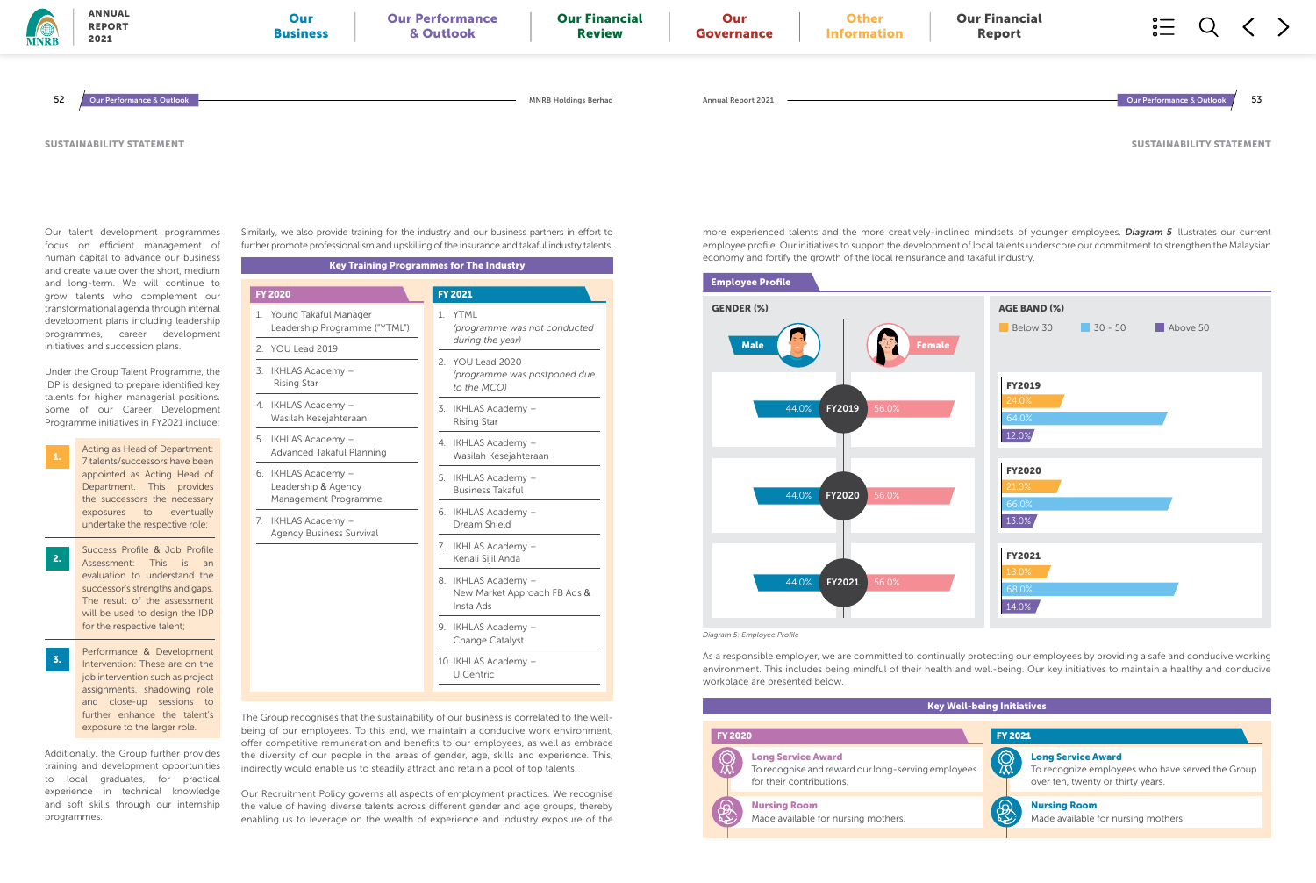Our talent development programmes focus on efficient management of human capital to advance our business and create value over the short, medium and long-term. We will continue to grow talents who complement our transformational agenda through internal development plans including leadership programmes, career development initiatives and succession plans.

Under the Group Talent Programme, the IDP is designed to prepare identified key talents for higher managerial positions. Some of our Career Development Programme initiatives in FY2021 include:

Additionally, the Group further provides training and development opportunities to local graduates, for practical experience in technical knowledge and soft skills through our internship programmes.

Acting as Head of Department: 7 talents/successors have been appointed as Acting Head of Department. This provides the successors the necessary exposures to eventually undertake the respective role;

1.

- Success Profile & Job Profile Assessment: This is an evaluation to understand the successor's strengths and gaps. The result of the assessment will be used to design the IDP for the respective talent; 2.
- Performance & Development Intervention: These are on the job intervention such as project assignments, shadowing role and close-up sessions to further enhance the talent's exposure to the larger role. 3.

Similarly, we also provide training for the industry and our business partners in effort to further promote professionalism and upskilling of the insurance and takaful industry talents.

The Group recognises that the sustainability of our business is correlated to the wellbeing of our employees. To this end, we maintain a conducive work environment, offer competitive remuneration and benefits to our employees, as well as embrace the diversity of our people in the areas of gender, age, skills and experience. This, indirectly would enable us to steadily attract and retain a pool of top talents.

| <b>AGE BAND (%)</b>                      | Below 30 30 - 50 | Above 50 |  |
|------------------------------------------|------------------|----------|--|
| FY2019<br>24.0%<br>64.0%<br>12.0%        |                  |          |  |
| <b>FY2020</b><br>21.0%<br>66.0%<br>13.0% |                  |          |  |
| FY2021<br>18.0%<br>68.0%<br>14.0%        |                  |          |  |

Our Recruitment Policy governs all aspects of employment practices. We recognise the value of having diverse talents across different gender and age groups, thereby enabling us to leverage on the wealth of experience and industry exposure of the



### Key Training Programmes for The Industry

| <b>FY 2020</b>                                                     | <b>FY 2021</b>                                                   |
|--------------------------------------------------------------------|------------------------------------------------------------------|
| Young Takaful Manager<br>1.<br>Leadership Programme ("YTML")       | 1. YTML<br>(programme was not conducted                          |
| 2. YOU Lead 2019                                                   | during the year)                                                 |
| 3. IKHLAS Academy -<br><b>Rising Star</b>                          | 2. YOU Lead 2020<br>(programme was postponed due<br>to the MCO)  |
| 4. IKHLAS Academy -<br>Wasilah Kesejahteraan                       | 3. IKHLAS Academy -<br><b>Rising Star</b>                        |
| 5. IKHLAS Academy -<br>Advanced Takaful Planning                   | 4. IKHLAS Academy -<br>Wasilah Kesejahteraan                     |
| 6. IKHLAS Academy -<br>Leadership & Agency<br>Management Programme | 5. IKHLAS Academy -<br><b>Business Takaful</b>                   |
| IKHLAS Academy -<br>7.<br><b>Agency Business Survival</b>          | 6. IKHLAS Academy -<br>Dream Shield                              |
|                                                                    | 7. IKHLAS Academy -<br>Kenali Sijil Anda                         |
|                                                                    | 8. IKHLAS Academy -<br>New Market Approach FB Ads &<br>Insta Ads |
|                                                                    | 9. IKHLAS Academy -<br>Change Catalyst                           |
|                                                                    | 10. IKHLAS Academy -<br>U Centric                                |

more experienced talents and the more creatively-inclined mindsets of younger employees. *Diagram 5* illustrates our current employee profile. Our initiatives to support the development of local talents underscore our commitment to strengthen the Malaysian economy and fortify the growth of the local reinsurance and takaful industry.

As a responsible employer, we are committed to continually protecting our employees by providing a safe and conducive working environment. This includes being mindful of their health and well-being. Our key initiatives to maintain a healthy and conducive workplace are presented below.

*Diagram 5: Employee Profile*

| <b>Our Financial</b><br><b>Report</b> |                                 |    |  |
|---------------------------------------|---------------------------------|----|--|
|                                       | Our Performance & Outlook       | 53 |  |
|                                       | <b>SUSTAINABILITY STATEMENT</b> |    |  |



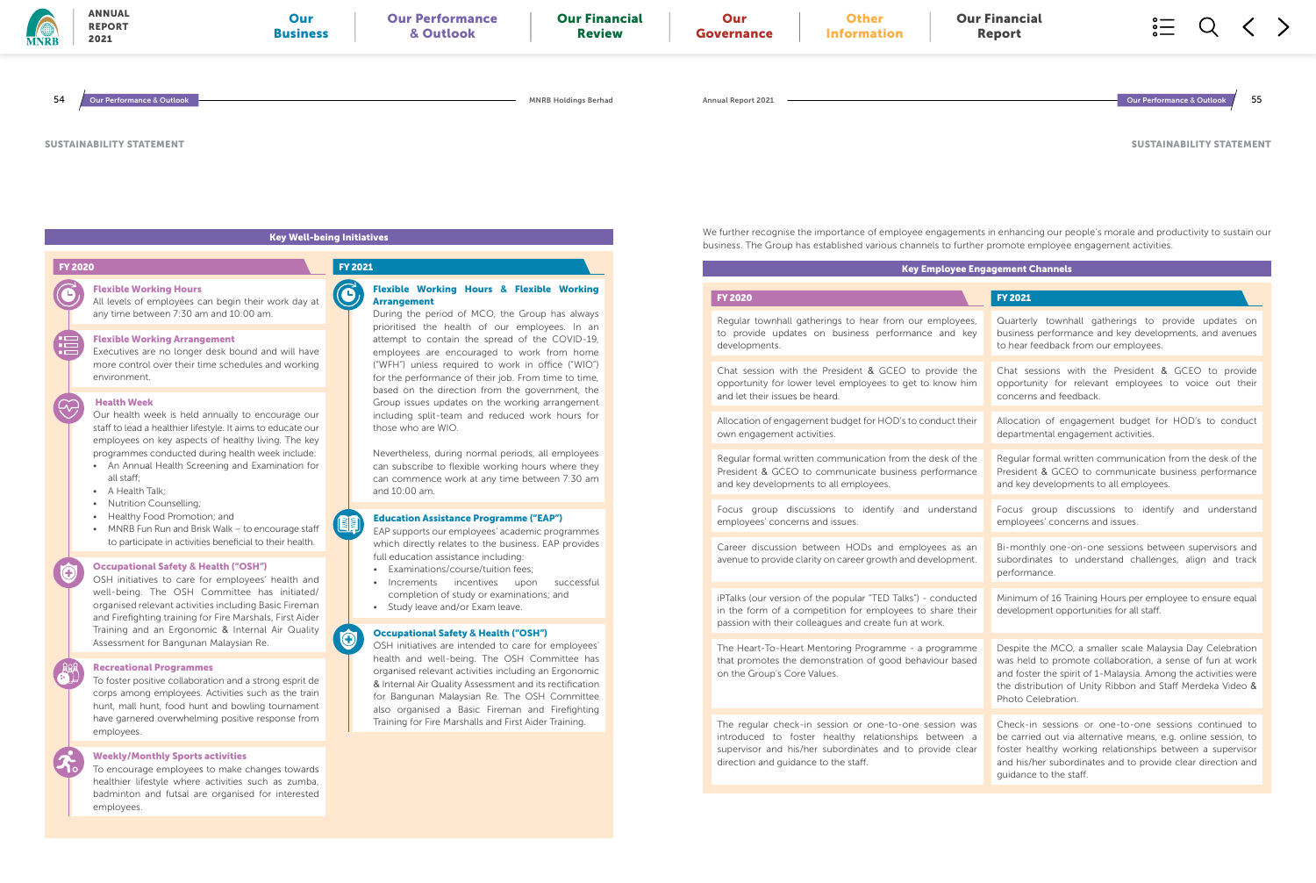### Flexible Working Arrangement

Executives are no longer desk bound and will have more control over their time schedules and working environment.

### Health Week

Our health week is held annually to encourage our staff to lead a healthier lifestyle. It aims to educate our employees on key aspects of healthy living. The key programmes conducted during health week include:

- An Annual Health Screening and Examination for all staff;
- A Health Talk;
- Nutrition Counselling;
- Healthy Food Promotion; and
- MNRB Fun Run and Brisk Walk to encourage staff to participate in activities beneficial to their health.

### Occupational Safety **&** Health ("OSH")

OSH initiatives to care for employees' health and well-being. The OSH Committee has initiated/ organised relevant activities including Basic Fireman and Firefighting training for Fire Marshals, First Aider Training and an Ergonomic & Internal Air Quality Assessment for Bangunan Malaysian Re.

### Recreational Programmes

To foster positive collaboration and a strong esprit de corps among employees. Activities such as the train hunt, mall hunt, food hunt and bowling tournament have garnered overwhelming positive response from employees.

### Weekly/Monthly Sports activities

To encourage employees to make changes towards healthier lifestyle where activities such as zumba, badminton and futsal are organised for interested employees.

### Education Assistance Programme ("EAP")

EAP supports our employees' academic programmes which directly relates to the business. EAP provides full education assistance including:

Regular townhall gatherings to hear from our empl to provide updates on business performance ar developments.

- Examinations/course/tuition fees;
- Increments incentives upon successful completion of study or examinations; and • Study leave and/or Exam leave.
- 

 $\bigodot$ 

Chat session with the President & GCEO to provide opportunity for lower level employees to get to know and let their issues be heard.

Allocation of engagement budget for HOD's to conduct own engagement activities.

### Occupational Safety **&** Health ("OSH")

Regular formal written communication from the desk President & GCEO to communicate business perfor and key developments to all employees.

Focus group discussions to identify and unde employees' concerns and issues.

Career discussion between HODs and employees avenue to provide clarity on career growth and develop

OSH initiatives are intended to care for employees' health and well-being. The OSH Committee has organised relevant activities including an Ergonomic & Internal Air Quality Assessment and its rectification for Bangunan Malaysian Re. The OSH Committee also organised a Basic Fireman and Firefighting Training for Fire Marshalls and First Aider Training.

iPTalks (our version of the popular "TED Talks") - cond in the form of a competition for employees to share passion with their colleagues and create fun at work.

The Heart-To-Heart Mentoring Programme - a progra that promotes the demonstration of good behaviour on the Group's Core Values.

The regular check-in session or one-to-one session introduced to foster healthy relationships betw supervisor and his/her subordinates and to provide direction and guidance to the staff.

prioritised the health of our employees. In an attempt to contain the spread of the COVID-19, employees are encouraged to work from home ("WFH") unless required to work in office ("WIO") for the performance of their job. From time to time, based on the direction from the government, the Group issues updates on the working arrangement including split-team and reduced work hours for those who are WIO.

Nevertheless, during normal periods, all employees can subscribe to flexible working hours where they can commence work at any time between 7:30 am and 10:00 am.

SUSTAINABILITY STATEMENT

We further recognise the importance of employee engagements in enhancing our people's morale and productivity to sustain our



|                           | yee Engagement Channels                                                                                                                                                                                                                                                      |
|---------------------------|------------------------------------------------------------------------------------------------------------------------------------------------------------------------------------------------------------------------------------------------------------------------------|
|                           | <b>FY 2021</b>                                                                                                                                                                                                                                                               |
| oyees,<br>d key           | Quarterly townhall gatherings to provide updates on<br>business performance and key developments, and avenues<br>to hear feedback from our employees.                                                                                                                        |
| de the<br>w him           | Chat sessions with the President & GCEO to provide<br>opportunity for relevant employees to voice out their<br>concerns and feedback.                                                                                                                                        |
| ct their                  | Allocation of engagement budget for HOD's to conduct<br>departmental engagement activities.                                                                                                                                                                                  |
| of the<br>mance           | Regular formal written communication from the desk of the<br>President & GCEO to communicate business performance<br>and key developments to all employees.                                                                                                                  |
| rstand                    | group discussions to identify and understand<br>Focus<br>employees' concerns and issues.                                                                                                                                                                                     |
| as an<br>oment.           | Bi-monthly one-on-one sessions between supervisors and<br>subordinates to understand challenges, align and track<br>performance.                                                                                                                                             |
| ducted<br>e their         | Minimum of 16 Training Hours per employee to ensure equal<br>development opportunities for all staff.                                                                                                                                                                        |
| amme<br>based             | Despite the MCO, a smaller scale Malaysia Day Celebration<br>was held to promote collaboration, a sense of fun at work<br>and foster the spirit of 1-Malaysia. Among the activities were<br>the distribution of Unity Ribbon and Staff Merdeka Video &<br>Photo Celebration. |
| n was<br>een a<br>e clear | Check-in sessions or one-to-one sessions continued to<br>be carried out via alternative means, e.g. online session, to<br>foster healthy working relationships between a supervisor<br>and his/her subordinates and to provide clear direction and<br>quidance to the staff. |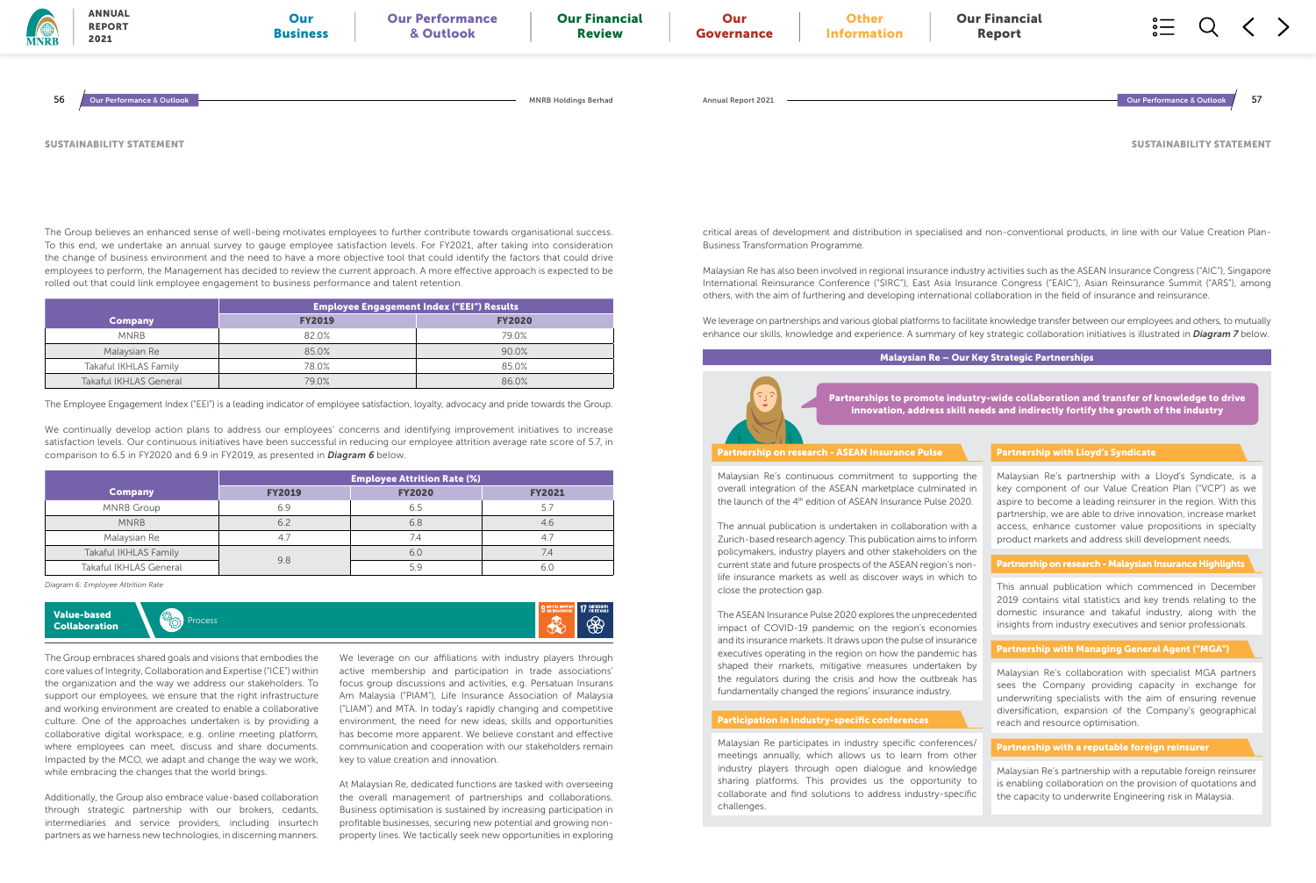The Employee Engagement Index ("EEI") is a leading indicator of employee satisfaction, loyalty, advocacy and pride towards the Group.

We continually develop action plans to address our employees' concerns and identifying improvement initiatives to increase satisfaction levels. Our continuous initiatives have been successful in reducing our employee attrition average rate score of 5.7, in comparison to 6.5 in FY2020 and 6.9 in FY2019, as presented in *Diagram 6* below.

|                        | Employee Engagement Index ("EEI") Results ' |               |  |  |  |  |  |
|------------------------|---------------------------------------------|---------------|--|--|--|--|--|
| Company                | <b>FY2019</b>                               | <b>FY2020</b> |  |  |  |  |  |
| <b>MNRB</b>            | 820%                                        | 79.0%         |  |  |  |  |  |
| Malaysian Re           | 85.0%                                       | 90.0%         |  |  |  |  |  |
| Takaful IKHLAS Family  | 78.0%                                       | 85.0%         |  |  |  |  |  |
| Takaful IKHLAS General | 79.0%                                       | 86.0%         |  |  |  |  |  |

|                               | <b>Employee Attrition Rate (%)</b> |                 |               |  |  |  |  |
|-------------------------------|------------------------------------|-----------------|---------------|--|--|--|--|
| <b>Company</b>                | <b>FY2019</b>                      | <b>FY2020</b>   | <b>FY2021</b> |  |  |  |  |
| <b>MNRB Group</b>             | 6.9                                | 6.5             | 5.7           |  |  |  |  |
| <b>MNRB</b>                   | 6.2                                | 6.8             | 4.6           |  |  |  |  |
| Malaysian Re                  | 4.7                                | 7.4             | -4.7          |  |  |  |  |
| Takaful IKHLAS Family         |                                    | 6. <sub>C</sub> | 7.4           |  |  |  |  |
| <b>Takaful IKHLAS General</b> | 9.8                                | 5c              | 6.C           |  |  |  |  |

*Diagram 6: Employee Attrition Rate*

### SUSTAINABILITY STATEMENT



The Group believes an enhanced sense of well-being motivates employees to further contribute towards organisational success. To this end, we undertake an annual survey to gauge employee satisfaction levels. For FY2021, after taking into consideration the change of business environment and the need to have a more objective tool that could identify the factors that could drive employees to perform, the Management has decided to review the current approach. A more effective approach is expected to be rolled out that could link employee engagement to business performance and talent retention.

The Group embraces shared goals and visions that embodies the core values of Integrity, Collaboration and Expertise ("ICE") within the organization and the way we address our stakeholders. To support our employees, we ensure that the right infrastructure and working environment are created to enable a collaborative culture. One of the approaches undertaken is by providing a collaborative digital workspace, e.g. online meeting platform, where employees can meet, discuss and share documents. Impacted by the MCO, we adapt and change the way we work, while embracing the changes that the world brings.

Additionally, the Group also embrace value-based collaboration through strategic partnership with our brokers, cedants, intermediaries and service providers, including insurtech partners as we harness new technologies, in discerning manners.

We leverage on our affiliations with industry players through active membership and participation in trade associations' focus group discussions and activities, e.g. Persatuan Insurans Am Malaysia ("PIAM"), Life Insurance Association of Malaysia ("LIAM") and MTA. In today's rapidly changing and competitive environment, the need for new ideas, skills and opportunities has become more apparent. We believe constant and effective communication and cooperation with our stakeholders remain key to value creation and innovation.

Malaysian Re's continuous commitment to supporting the overall integration of the ASEAN marketplace culminated in the launch of the 4<sup>th</sup> edition of ASEAN Insurance Pulse 2020.

At Malaysian Re, dedicated functions are tasked with overseeing the overall management of partnerships and collaborations. Business optimisation is sustained by increasing participation in profitable businesses, securing new potential and growing nonproperty lines. We tactically seek new opportunities in exploring SUSTAINABILITY STATEMENT

critical areas of development and distribution in specialised and non-conventional products, in line with our Value Creation Plan-Business Transformation Programme.

| MNRB | <b>ANNUAL</b><br><b>REPORT</b><br>2021 | Our<br><b>Business</b> | <b>Our Performance</b><br>& Outlook | <b>Our Financial</b><br><b>Review</b> | Our<br>Governance         | <b>Other</b><br><b>Information</b> | <b>Our Financial</b><br><b>Report</b> | $\circ$ —<br>$\circ$ —<br>$\circ$ — | $\tilde{\phantom{a}}$ |     |
|------|----------------------------------------|------------------------|-------------------------------------|---------------------------------------|---------------------------|------------------------------------|---------------------------------------|-------------------------------------|-----------------------|-----|
| 56   | ur Performance & Outlook               |                        |                                     | <b>MNRB Holdings Berhad</b>           | <b>Annual Report 2021</b> |                                    |                                       | Our Performance & Outlook           |                       | -57 |

Malaysian Re has also been involved in regional insurance industry activities such as the ASEAN Insurance Congress ("AIC"), Singapore International Reinsurance Conference ("SIRC"), East Asia Insurance Congress ("EAIC"), Asian Reinsurance Summit ("ARS"), among others, with the aim of furthering and developing international collaboration in the field of insurance and reinsurance.

We leverage on partnerships and various global platforms to facilitate knowledge transfer between our employees and others, to mutually enhance our skills, knowledge and experience. A summary of key strategic collaboration initiatives is illustrated in *Diagram 7* below.

### Malaysian Re – Our Key Strategic Partnerships

Malaysian Re participates in industry specific conferences/ meetings annually, which allows us to learn from other industry players through open dialogue and knowledge sharing platforms. This provides us the opportunity to collaborate and find solutions to address industry-specific challenges.

### Participation in industry-specific conferences

This annual publication which commenced in December 2019 contains vital statistics and key trends relating to the domestic insurance and takaful industry, along with the insights from industry executives and senior professionals.

### Partnership on research - Malaysian Insurance Highlights

Malaysian Re's collaboration with specialist MGA partners sees the Company providing capacity in exchange for underwriting specialists with the aim of ensuring revenue diversification, expansion of the Company's geographical reach and resource optimisation.

### Partnership with Managing General Agent ("MGA")

Malaysian Re's partnership with a reputable foreign reinsurer is enabling collaboration on the provision of quotations and the capacity to underwrite Engineering risk in Malaysia.

### Partnership with a reputable foreign reinsurer

Partnerships to promote industry-wide collaboration and transfer of knowledge to drive innovation, address skill needs and indirectly fortify the growth of the industry

Malaysian Re's partnership with a Lloyd's Syndicate, is a key component of our Value Creation Plan ("VCP") as we aspire to become a leading reinsurer in the region. With this partnership, we are able to drive innovation, increase market access, enhance customer value propositions in specialty product markets and address skill development needs.

### Partnership with Lloyd's Syndicate

The annual publication is undertaken in collaboration with a Zurich-based research agency. This publication aims to inform policymakers, industry players and other stakeholders on the current state and future prospects of the ASEAN region's nonlife insurance markets as well as discover ways in which to close the protection gap.

The ASEAN Insurance Pulse 2020 explores the unprecedented impact of COVID-19 pandemic on the region's economies and its insurance markets. It draws upon the pulse of insurance executives operating in the region on how the pandemic has shaped their markets, mitigative measures undertaken by the regulators during the crisis and how the outbreak has fundamentally changed the regions' insurance industry.

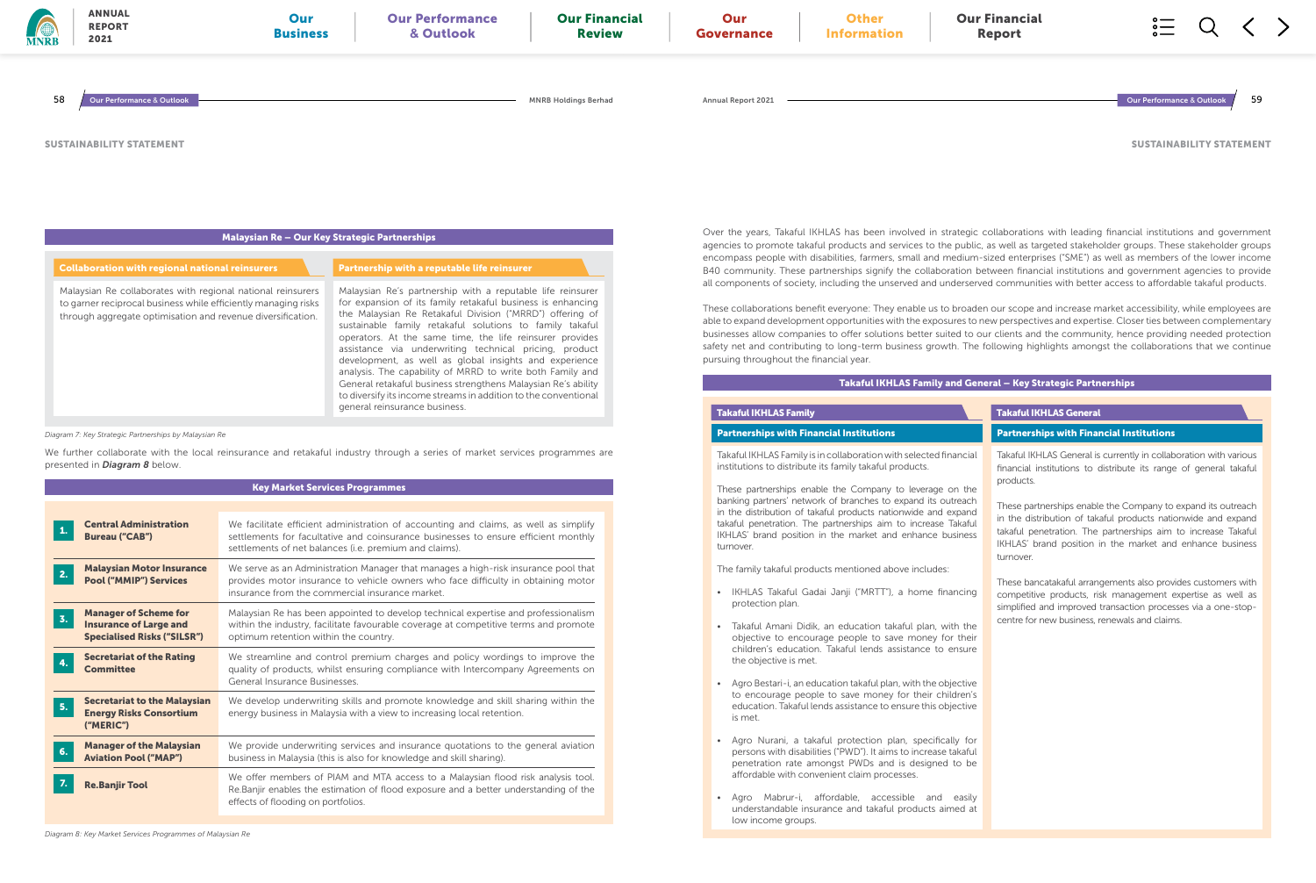sustainable family retakaful solutions to family takaful operators. At the same time, the life reinsurer provides assistance via underwriting technical pricing, product development, as well as global insights and experience analysis. The capability of MRRD to write both Family and General retakaful business strengthens Malaysian Re's ability to diversify its income streams in addition to the conventional general reinsurance business.

*Diagram 7: Key Strategic Partnerships by Malaysian Re*

We further collaborate with the local reinsurance and retakaful industry through a series of market services programmes are presented in *Diagram 8* below.

Key Market Services Programmes

Takaful IKHLAS Family is in collaboration with selected fir institutions to distribute its family takaful products.

These partnerships enable the Company to leverage banking partners' network of branches to expand its out in the distribution of takaful products nationwide and takaful penetration. The partnerships aim to increase IKHLAS' brand position in the market and enhance bu turnover.

|                                                                                                           | <u>Rey Market Scryleds i Togrammics</u>                                                                                                                                                                                              |
|-----------------------------------------------------------------------------------------------------------|--------------------------------------------------------------------------------------------------------------------------------------------------------------------------------------------------------------------------------------|
|                                                                                                           |                                                                                                                                                                                                                                      |
| <b>Central Administration</b><br>1.<br><b>Bureau ("CAB")</b>                                              | We facilitate efficient administration of accounting and claims, as well as simplify<br>settlements for facultative and coinsurance businesses to ensure efficient monthly<br>settlements of net balances (i.e. premium and claims). |
| <b>Malaysian Motor Insurance</b><br>2.<br><b>Pool ("MMIP") Services</b>                                   | We serve as an Administration Manager that manages a high-risk insurance pool that<br>provides motor insurance to vehicle owners who face difficulty in obtaining motor<br>insurance from the commercial insurance market.           |
| <b>Manager of Scheme for</b><br>3.<br><b>Insurance of Large and</b><br><b>Specialised Risks ("SILSR")</b> | Malaysian Re has been appointed to develop technical expertise and professionalism<br>within the industry, facilitate favourable coverage at competitive terms and promote<br>optimum retention within the country.                  |
| <b>Secretariat of the Rating</b><br>4.<br><b>Committee</b>                                                | We streamline and control premium charges and policy wordings to improve the<br>quality of products, whilst ensuring compliance with Intercompany Agreements on<br>General Insurance Businesses                                      |
| <b>Secretariat to the Malaysian</b><br>5.<br><b>Energy Risks Consortium</b><br>("MERIC")                  | We develop underwriting skills and promote knowledge and skill sharing within the<br>energy business in Malaysia with a view to increasing local retention.                                                                          |
| <b>Manager of the Malaysian</b><br>6.<br><b>Aviation Pool ("MAP")</b>                                     | We provide underwriting services and insurance quotations to the general aviation<br>business in Malaysia (this is also for knowledge and skill sharing).                                                                            |
| 7.<br><b>Re.Banjir Tool</b>                                                                               | We offer members of PIAM and MTA access to a Malaysian flood risk analysis tool.<br>Re.Banjir enables the estimation of flood exposure and a better understanding of the<br>effects of flooding on portfolios.                       |

- IKHLAS Takaful Gadai Janji ("MRTT"), a home fin protection plan.
- Takaful Amani Didik, an education takaful plan, with objective to encourage people to save money fo children's education. Takaful lends assistance to the objective is met.
- Agro Bestari-i, an education takaful plan, with the ob to encourage people to save money for their children education. Takaful lends assistance to ensure this ob is met.
- Agro Nurani, a takaful protection plan, specifica persons with disabilities ("PWD"). It aims to increase penetration rate amongst PWDs and is designed affordable with convenient claim processes.
- Agro Mabrur-i, affordable, accessible and understandable insurance and takaful products air low income groups.

derserved communities with better access to affordable takaful products. broaden our scope and increase market accessibility, while employees are ares to new perspectives and expertise. Closer ties between complementary businesses allow companies to offer solutions better suited to our clients and the community, hence providing needed protection safety net and contributing to long-term business growth. The following highlights amongst the collaborations that we continue

### Takaful IKHLAS Family

### Takaful IKHLAS Family

| <b>MNRB</b> | <b>ANNUAL</b><br>Our<br><b>REPORT</b><br><b>Business</b><br>2021                                                                                                                                                                                       | <b>Our Performance</b><br>& Outlook                                                                                                                                                                                                                                                              | <b>Our Financial</b><br><b>Review</b> | Our<br>Governance  | <b>Other</b><br><b>Information</b> | <b>Our Financial</b><br>Report |                                                                                                                                                                                                                                                                                                                                                                                                                                                                                                                                    |
|-------------|--------------------------------------------------------------------------------------------------------------------------------------------------------------------------------------------------------------------------------------------------------|--------------------------------------------------------------------------------------------------------------------------------------------------------------------------------------------------------------------------------------------------------------------------------------------------|---------------------------------------|--------------------|------------------------------------|--------------------------------|------------------------------------------------------------------------------------------------------------------------------------------------------------------------------------------------------------------------------------------------------------------------------------------------------------------------------------------------------------------------------------------------------------------------------------------------------------------------------------------------------------------------------------|
| 58          | Our Performance & Outlook                                                                                                                                                                                                                              |                                                                                                                                                                                                                                                                                                  | <b>MNRB Holdings Berhad</b>           | Annual Report 2021 |                                    |                                | 59<br><b>Our Performance &amp; Outlook</b>                                                                                                                                                                                                                                                                                                                                                                                                                                                                                         |
|             | <b>SUSTAINABILITY STATEMENT</b>                                                                                                                                                                                                                        |                                                                                                                                                                                                                                                                                                  |                                       |                    |                                    |                                | <b>SUSTAINABILITY STATEMEI</b>                                                                                                                                                                                                                                                                                                                                                                                                                                                                                                     |
|             |                                                                                                                                                                                                                                                        | Malaysian Re - Our Key Strategic Partnerships                                                                                                                                                                                                                                                    |                                       |                    |                                    |                                | Over the years, Takaful IKHLAS has been involved in strategic collaborations with leading financial institutions and governme<br>agencies to promote takaful products and services to the public, as well as targeted stakeholder groups. These stakeholder grou<br>encompass people with disabilities, farmers, small and medium-sized enterprises ("SME") as well as members of the lower incor                                                                                                                                  |
|             | <b>Collaboration with regional national reinsurers</b><br>Malaysian Re collaborates with regional national reinsurers<br>to garner reciprocal business while efficiently managing risks<br>through aggregate optimisation and revenue diversification. | Partnership with a reputable life reinsurer<br>Malaysian Re's partnership with a reputable life reinsurer<br>for expansion of its family retakaful business is enhancing<br>the Malaysian Re Retakaful Division ("MRRD") offering of<br>sustainable family retakaful solutions to family takaful |                                       |                    |                                    |                                | B40 community. These partnerships signify the collaboration between financial institutions and government agencies to provi<br>all components of society, including the unserved and underserved communities with better access to affordable takaful product<br>These collaborations benefit everyone: They enable us to broaden our scope and increase market accessibility, while employees a<br>able to expand development opportunities with the exposures to new perspectives and expertise. Closer ties between complementa |

|                                                | and General – Key Strategic Partnerships                                                                                                                                                                                                                                 |
|------------------------------------------------|--------------------------------------------------------------------------------------------------------------------------------------------------------------------------------------------------------------------------------------------------------------------------|
|                                                | <b>Takaful IKHLAS General</b>                                                                                                                                                                                                                                            |
|                                                | <b>Partnerships with Financial Institutions</b>                                                                                                                                                                                                                          |
| nancial<br>on the                              | Takaful IKHLAS General is currently in collaboration with various<br>financial institutions to distribute its range of general takaful<br>products.                                                                                                                      |
| <b>utreach</b><br>expand<br>Takaful<br>usiness | These partnerships enable the Company to expand its outreach<br>in the distribution of takaful products nationwide and expand<br>takaful penetration. The partnerships aim to increase Takaful<br>IKHLAS' brand position in the market and enhance business<br>turnover. |
| iancing                                        | These bancatakaful arrangements also provides customers with<br>competitive products, risk management expertise as well as<br>simplified and improved transaction processes via a one-stop-                                                                              |
| ith the<br>or their<br>ensure                  | centre for new business, renewals and claims.                                                                                                                                                                                                                            |
| ojective<br>ildren's<br>ojective               |                                                                                                                                                                                                                                                                          |
| ally for<br>takaful<br>to be                   |                                                                                                                                                                                                                                                                          |
| easily<br>med at                               |                                                                                                                                                                                                                                                                          |

The family takaful products mentioned above includes:

### SUSTAINABILITY STATEMENT

pursuing throughout the financial year.

### Partnerships with Financial Institutions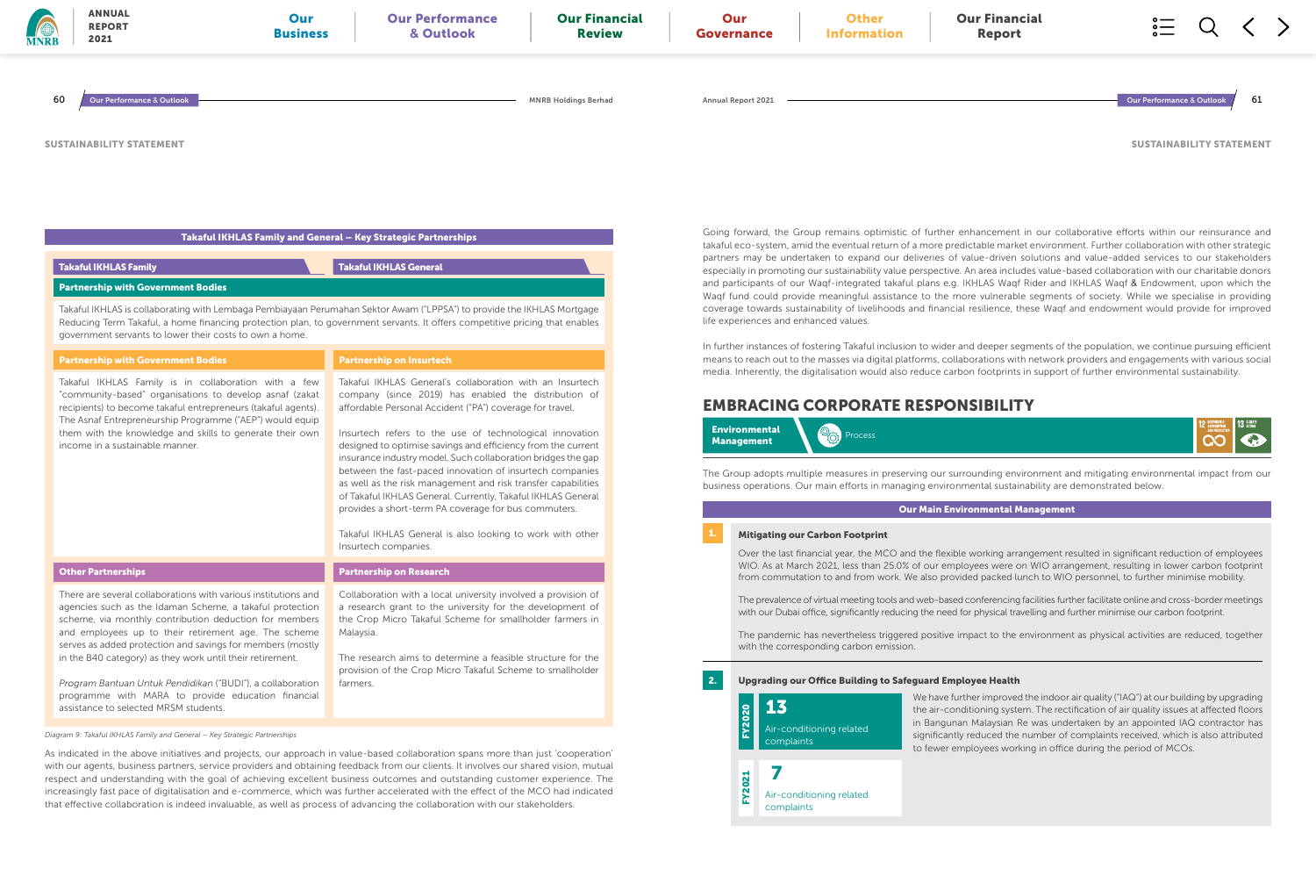| <b>Partnership with Government Bodies</b>                                                                                                                                                                                                                                                                                                                                                                                                                                                                                            | <b>Partnership on Insurtech</b>                                                                                                                                                                                                                                                                                                                                                                                                                                                                                                                                                                                                                                                                                   |
|--------------------------------------------------------------------------------------------------------------------------------------------------------------------------------------------------------------------------------------------------------------------------------------------------------------------------------------------------------------------------------------------------------------------------------------------------------------------------------------------------------------------------------------|-------------------------------------------------------------------------------------------------------------------------------------------------------------------------------------------------------------------------------------------------------------------------------------------------------------------------------------------------------------------------------------------------------------------------------------------------------------------------------------------------------------------------------------------------------------------------------------------------------------------------------------------------------------------------------------------------------------------|
| Takaful IKHLAS Family is in collaboration with a few<br>"community-based" organisations to develop asnaf (zakat<br>recipients) to become takaful entrepreneurs (takaful agents).<br>The Asnaf Entrepreneurship Programme ("AEP") would equip<br>them with the knowledge and skills to generate their own<br>income in a sustainable manner.                                                                                                                                                                                          | Takaful IKHLAS General's collaboration with an Insurtech<br>company (since 2019) has enabled the distribution of<br>affordable Personal Accident ("PA") coverage for travel.<br>Insurtech refers to the use of technological innovation<br>designed to optimise savings and efficiency from the current<br>insurance industry model. Such collaboration bridges the gap<br>between the fast-paced innovation of insurtech companies<br>as well as the risk management and risk transfer capabilities<br>of Takaful IKHLAS General. Currently, Takaful IKHLAS General<br>provides a short-term PA coverage for bus commuters.<br>Takaful IKHLAS General is also looking to work with other<br>Insurtech companies. |
| <b>Other Partnerships</b>                                                                                                                                                                                                                                                                                                                                                                                                                                                                                                            | <b>Partnership on Research</b>                                                                                                                                                                                                                                                                                                                                                                                                                                                                                                                                                                                                                                                                                    |
| There are several collaborations with various institutions and<br>agencies such as the Idaman Scheme, a takaful protection<br>scheme, via monthly contribution deduction for members<br>and employees up to their retirement age. The scheme<br>serves as added protection and savings for members (mostly<br>in the B40 category) as they work until their retirement.<br>Program Bantuan Untuk Pendidikan ("BUDI"), a collaboration<br>programme with MARA to provide education financial<br>assistance to selected MRSM students. | Collaboration with a local university involved a provision of<br>a research grant to the university for the development of<br>the Crop Micro Takaful Scheme for smallholder farmers in<br>Malaysia.<br>The research aims to determine a feasible structure for the<br>provision of the Crop Micro Takaful Scheme to smallholder<br>farmers.                                                                                                                                                                                                                                                                                                                                                                       |

As indicated in the above initiatives and projects, our approach in value-based collaboration spans more than just 'cooperation' with our agents, business partners, service providers and obtaining feedback from our clients. It involves our shared vision, mutual respect and understanding with the goal of achieving excellent business outcomes and outstanding customer experience. The increasingly fast pace of digitalisation and e-commerce, which was further accelerated with the effect of the MCO had indicated that effective collaboration is indeed invaluable, as well as process of advancing the collaboration with our stakeholders.

| <b>MNRB</b> | <b>ANNUAL</b><br><b>REPORT</b><br>2021    | Our<br><b>Business</b>                                                                                                                                                                                                                                | <b>Our Performance</b><br>& Outlook | <b>Our Financial</b><br><b>Review</b> | Our<br>Governance                     | <b>Other</b><br><b>Information</b> | <b>Our Financial</b><br>Report |                                                                                                                                                                                                                                                            |
|-------------|-------------------------------------------|-------------------------------------------------------------------------------------------------------------------------------------------------------------------------------------------------------------------------------------------------------|-------------------------------------|---------------------------------------|---------------------------------------|------------------------------------|--------------------------------|------------------------------------------------------------------------------------------------------------------------------------------------------------------------------------------------------------------------------------------------------------|
| 60          | <b>Our Performance &amp; Outlook</b>      |                                                                                                                                                                                                                                                       |                                     | <b>MNRB Holdings Berhad</b>           | <b>Annual Report 2021</b>             |                                    |                                | 61<br>Our Performance & Outlook                                                                                                                                                                                                                            |
|             | <b>SUSTAINABILITY STATEMENT</b>           |                                                                                                                                                                                                                                                       |                                     |                                       |                                       |                                    |                                | <b>SUSTAINABILITY STATEMEI</b>                                                                                                                                                                                                                             |
|             |                                           | Takaful IKHLAS Family and General - Key Strategic Partnerships                                                                                                                                                                                        |                                     |                                       |                                       |                                    |                                | Going forward, the Group remains optimistic of further enhancement in our collaborative efforts within our reinsurance a                                                                                                                                   |
|             |                                           |                                                                                                                                                                                                                                                       |                                     |                                       |                                       |                                    |                                | takaful eco-system, amid the eventual return of a more predictable market environment. Further collaboration with other strated<br>partners may be undertaken to expand our deliveries of value-driven solutions and value-added services to our stakehold |
|             | <b>Takaful IKHLAS Family</b>              |                                                                                                                                                                                                                                                       | <b>Takaful IKHLAS General</b>       |                                       |                                       |                                    |                                | especially in promoting our sustainability value perspective. An area includes value-based collaboration with our charitable dono                                                                                                                          |
|             | <b>Partnership with Government Bodies</b> |                                                                                                                                                                                                                                                       |                                     |                                       |                                       |                                    |                                | and participants of our Wagf-integrated takaful plans e.g. IKHLAS Wagf Rider and IKHLAS Wagf & Endowment, upon which t<br>Wagf fund could provide meaningful assistance to the more vulnerable segments of society. While we specialise in providi         |
|             |                                           | Takaful IKHLAS is collaborating with Lembaga Pembiayaan Perumahan Sektor Awam ("LPPSA") to provide the IKHLAS Mortgage<br>Reducing Term Takaful, a home financing protection plan, to government servants. It offers competitive pricing that enables |                                     |                                       | life experiences and enhanced values. |                                    |                                | coverage towards sustainability of livelihoods and financial resilience, these Waqf and endowment would provide for improv                                                                                                                                 |

SUSTAINABILITY STATEMENT

In further instances of fostering Takaful inclusion to wider and deeper segments of the population, we continue pursuing efficient means to reach out to the masses via digital platforms, collaborations with network providers and engagements with various social media. Inherently, the digitalisation would also reduce carbon footprints in support of further environmental sustainability.

The Group adopts multiple measures in preserving our surrounding environment and mitigating environmental impact from our business operations. Our main efforts in managing environmental sustainability are demonstrated below.

### **Mitigating our Carbon Footprint**



## EMBRACING CORPORATE RESPONSIBILITY

Our Main Environmental Management

### 2. Upgrading our Office Building to Safeguard Employee Health

We have further improved the indoor air quality ("IAQ") at our building by upgrading the air-conditioning system. The rectification of air quality issues at affected floors in Bangunan Malaysian Re was undertaken by an appointed IAQ contractor has significantly reduced the number of complaints received, which is also attributed to fewer employees working in office during the period of MCOs.

Over the last financial year, the MCO and the flexible working arrangement resulted in significant reduction of employees WIO. As at March 2021, less than 25.0% of our employees were on WIO arrangement, resulting in lower carbon footprint from commutation to and from work. We also provided packed lunch to WIO personnel, to further minimise mobility.

The prevalence of virtual meeting tools and web-based conferencing facilities further facilitate online and cross-border meetings with our Dubai office, significantly reducing the need for physical travelling and further minimise our carbon footprint.

The pandemic has nevertheless triggered positive impact to the environment as physical activities are reduced, together with the corresponding carbon emission.

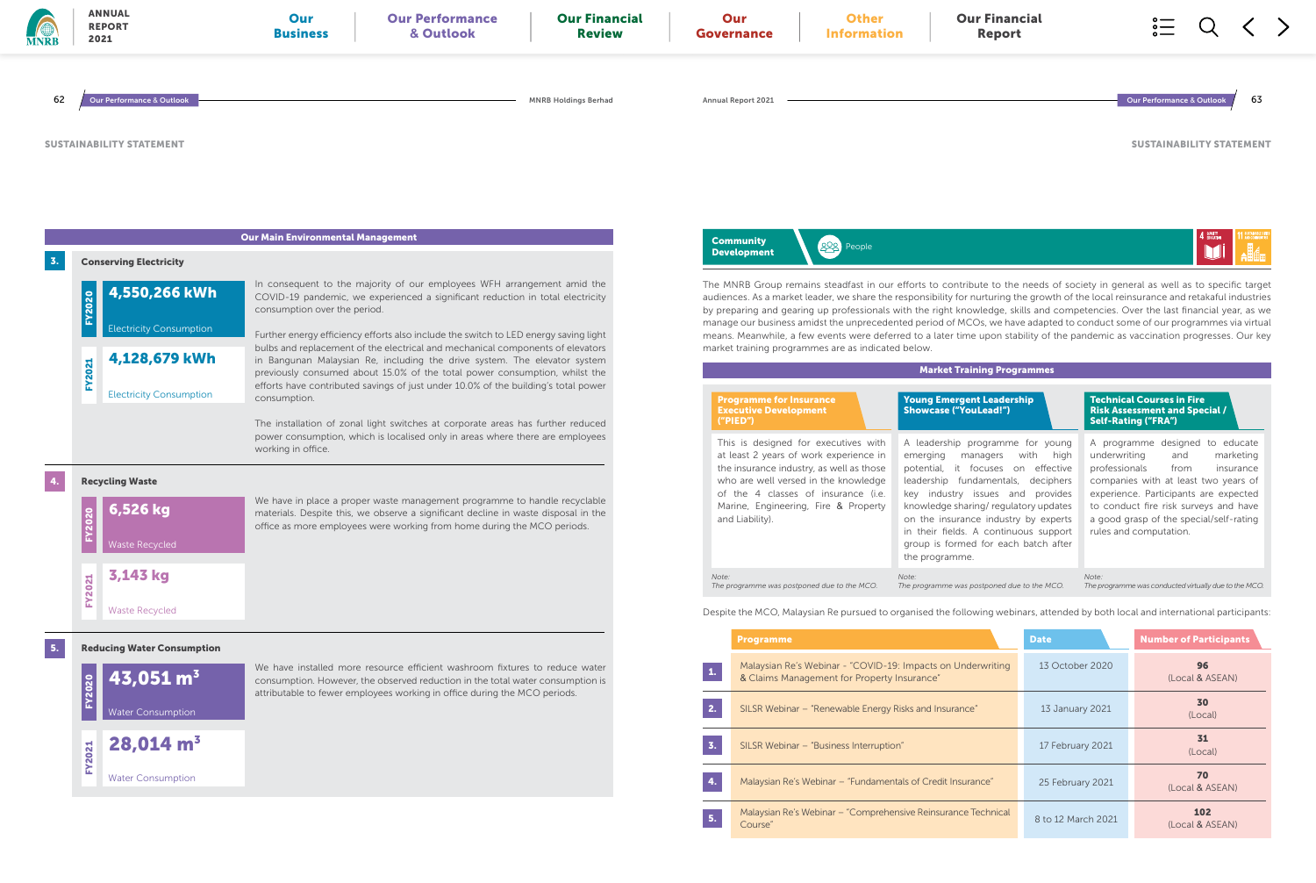

The MNRB Group remains steadfast in our efforts to contribute to the needs of society in general as well as to specific target audiences. As a market leader, we share the responsibility for nurturing the growth of the local reinsurance and retakaful industries by preparing and gearing up professionals with the right knowledge, skills and competencies. Over the last financial year, as we manage our business amidst the unprecedented period of MCOs, we have adapted to conduct some of our programmes via virtual means. Meanwhile, a few events were deferred to a later time upon stability of the pandemic as vaccination progresses. Our key



### Market Training Programmes

A leadership programme for young emerging managers with high potential, it focuses on effective leadership fundamentals, deciphers key industry issues and provides knowledge sharing/ regulatory updates on the insurance industry by experts in their fields. A continuous support group is formed for each batch after

### Young Emergent Leadership Showcase ("YouLead!")

A programme designed to educate underwriting and marketing professionals from insurance companies with at least two years of experience. Participants are expected to conduct fire risk surveys and have a good grasp of the special/self-rating rules and computation.

Technical Courses in Fire Risk Assessment and Special / Self-Rating ("FRA")

*The programme was postponed due to the MCO.*

*Note: The programme was conducted virtually due to the MCO.*

Despite the MCO, Malaysian Re pursued to organised the following webinars, attended by both local and international participants:

|    | <b>Programme</b>                                                                                           | <b>Date</b>        | <b>Number of Participants</b> |
|----|------------------------------------------------------------------------------------------------------------|--------------------|-------------------------------|
| 1. | Malaysian Re's Webinar - "COVID-19: Impacts on Underwriting<br>& Claims Management for Property Insurance" | 13 October 2020    | 96<br>(Local & ASEAN)         |
| 2. | SILSR Webinar – "Renewable Energy Risks and Insurance"                                                     | 13 January 2021    | 30<br>(Local)                 |
| 3. | SILSR Webinar - "Business Interruption"                                                                    | 17 February 2021   | 31<br>(Local)                 |
| 4. | Malaysian Re's Webinar - "Fundamentals of Credit Insurance"                                                | 25 February 2021   | 70<br>(Local & ASEAN)         |
| 5. | Malaysian Re's Webinar – "Comprehensive Reinsurance Technical<br>Course"                                   | 8 to 12 March 2021 | 102<br>(Local & ASEAN)        |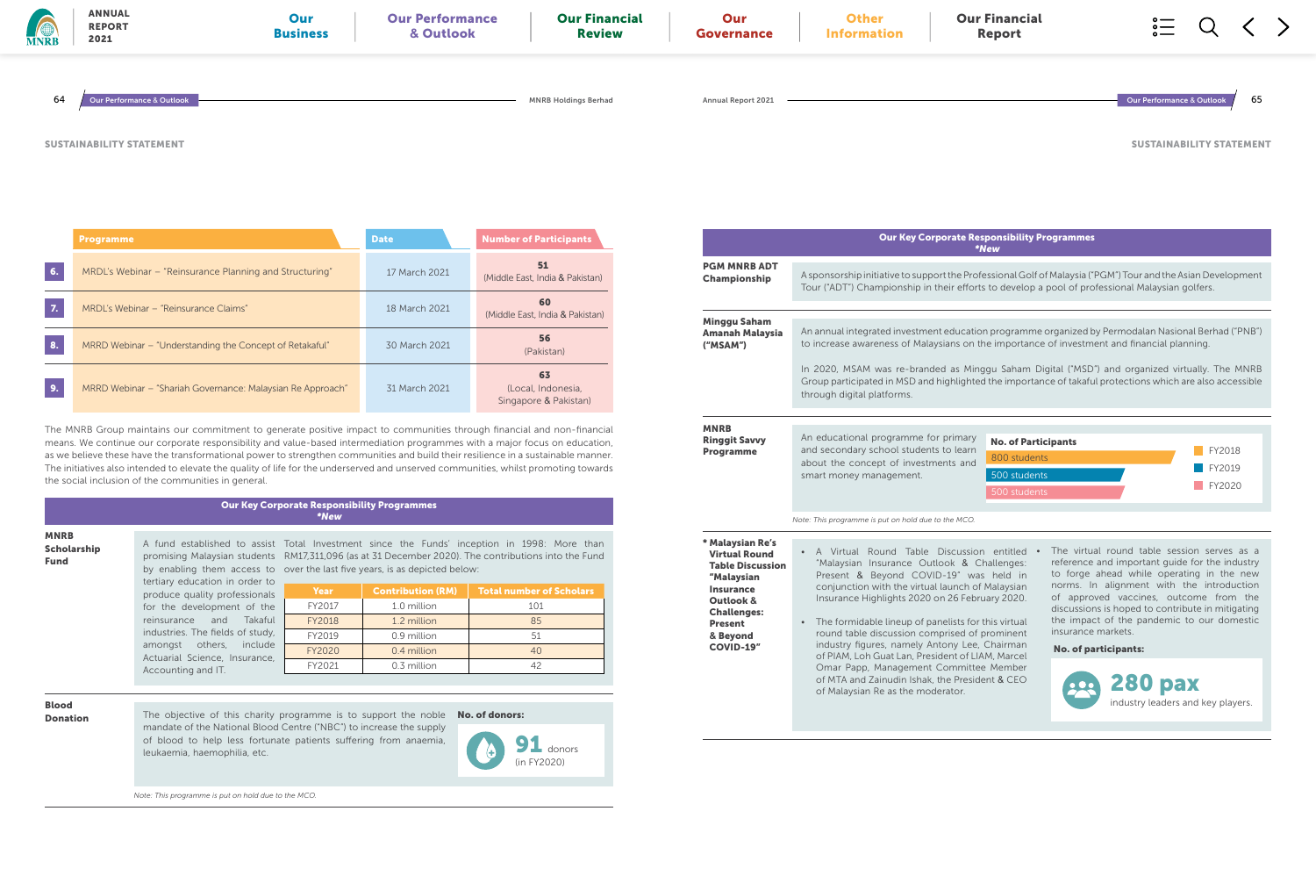|             | <b>Programme</b>                                           | <b>Date</b>   | <b>Number of Participants</b>                     |
|-------------|------------------------------------------------------------|---------------|---------------------------------------------------|
| 6.          | MRDL's Webinar – "Reinsurance Planning and Structuring"    | 17 March 2021 | 51<br>(Middle East, India & Pakistan)             |
| $Z_{\rm c}$ | MRDL's Webinar – "Reinsurance Claims"                      | 18 March 2021 | 60<br>(Middle East, India & Pakistan)             |
| 8.          | MRRD Webinar – "Understanding the Concept of Retakaful"    | 30 March 2021 | 56<br>(Pakistan)                                  |
| 9.          | MRRD Webinar – "Shariah Governance: Malaysian Re Approach" | 31 March 2021 | 63<br>(Local, Indonesia,<br>Singapore & Pakistan) |

tertiary education in order to produce quality profession for the development of t reinsurance and Taka industries. The fields of stud amongst others, inclu Actuarial Science, Insurano Accounting and IT.

A fund established to assist Total Investment since the Funds' inception in 1998: More than promising Malaysian students RM17,311,096 (as at 31 December 2020). The contributions into the Fund by enabling them access to over the last five years, is as depicted below:

The MNRB Group maintains our commitment to generate positive impact to communities through financial and non-financial means. We continue our corporate responsibility and value-based intermediation programmes with a major focus on education, as we believe these have the transformational power to strengthen communities and build their resilience in a sustainable manner. The initiatives also intended to elevate the quality of life for the underserved and unserved communities, whilst promoting towards the social inclusion of the communities in general.

**Donation** The objective of this charity programme is to support the noble mandate of the National Blood Centre ("NBC") to increase the supply of blood to help less fortunate patients suffering from anaemia, leukaemia, haemophilia, etc.

Our Key Corporate Responsibility Programmes \*New

### te Responsibility Programmes \*New

e Professional Golf of Malaysia ("PGM") Tour and the Asian Development efforts to develop a pool of professional Malaysian golfers.

ucation programme organized by Permodalan Nasional Berhad ("PNB") s on the importance of investment and financial planning.

Minggu Saham Digital ("MSD") and organized virtually. The MNRB lighted the importance of takaful protections which are also accessible

MNRB Scholarship Fund

| - LO<br>ials      | Year          | <b>Contribution (RM)</b> | <b>Total number of Scholars</b> |  |  |
|-------------------|---------------|--------------------------|---------------------------------|--|--|
| the               | FY2017        | 1.0 million              | 101                             |  |  |
| aful              | <b>FY2018</b> | 1.2 million              | 85                              |  |  |
| dy,<br>ıde<br>ce. | FY2019        | 0.9 million              | 51                              |  |  |
|                   | FY2020        | 0.4 million              | 40                              |  |  |
|                   | FY2021        | 0.3 million              | 42                              |  |  |

*Note: This programme is put on hold due to the MCO.*

Blood

No. of donors:

• A Virtual Round Table Discussion entitled • The virtual round table session serves as a reference and important guide for the industry to forge ahead while operating in the new norms. In alignment with the introduction of approved vaccines, outcome from the discussions is hoped to contribute in mitigating the impact of the pandemic to our domestic insurance markets.



| <b>MNRB</b> | <b>ANNUAL</b><br><b>REPORT</b><br>2021 | Our<br><b>Business</b> | <b>Our Performance</b><br>& Outlook | <b>Our Financial</b><br><b>Review</b> | Our<br>Governance         | <b>Other</b><br><b>Information</b> | <b>Our Financial</b><br>Report | $\circ$ —<br>$\circ$ —<br>$\circ$ — |    |
|-------------|----------------------------------------|------------------------|-------------------------------------|---------------------------------------|---------------------------|------------------------------------|--------------------------------|-------------------------------------|----|
| 64          | ur Performance & Outlook               |                        |                                     | <b>MNRB Holdings Berhad</b>           | <b>Annual Report 2021</b> |                                    |                                | Our Performance & Outlook           | 65 |
|             | <b>SUSTAINABILITY STATEMENT</b>        |                        |                                     |                                       |                           |                                    |                                | <b>SUSTAINABILITY STATEMEI</b>      |    |

SUSTAINABILITY STATEMENT

|                                                                                                                                                                                            | <b>Our Key Corporate Re</b>                                                                                                                                                                                                                                                                                                                                                                                                                                                      |
|--------------------------------------------------------------------------------------------------------------------------------------------------------------------------------------------|----------------------------------------------------------------------------------------------------------------------------------------------------------------------------------------------------------------------------------------------------------------------------------------------------------------------------------------------------------------------------------------------------------------------------------------------------------------------------------|
|                                                                                                                                                                                            |                                                                                                                                                                                                                                                                                                                                                                                                                                                                                  |
| <b>PGM MNRB ADT</b><br>Championship                                                                                                                                                        | A sponsorship initiative to support the Pro<br>Tour ("ADT") Championship in their effor                                                                                                                                                                                                                                                                                                                                                                                          |
| <b>Minggu Saham</b><br><b>Amanah Malaysia</b><br>("MSAM")                                                                                                                                  | An annual integrated investment education<br>to increase awareness of Malaysians on<br>In 2020, MSAM was re-branded as Mir<br>Group participated in MSD and highlighte<br>through digital platforms.                                                                                                                                                                                                                                                                             |
|                                                                                                                                                                                            |                                                                                                                                                                                                                                                                                                                                                                                                                                                                                  |
| <b>MNRB</b><br><b>Ringgit Savvy</b><br><b>Programme</b>                                                                                                                                    | An educational programme for primary<br>and secondary school students to learn<br>about the concept of investments and<br>smart money management.                                                                                                                                                                                                                                                                                                                                |
|                                                                                                                                                                                            | Note: This programme is put on hold due to the MCO.                                                                                                                                                                                                                                                                                                                                                                                                                              |
| * Malaysian Re's<br><b>Virtual Round</b><br><b>Table Discussion</b><br>"Malaysian<br><b>Insurance</b><br>Outlook &<br><b>Challenges:</b><br><b>Present</b><br>& Beyond<br><b>COVID-19"</b> | A Virtual Round Table<br><b>Discussio</b><br>"Malaysian Insurance Outlook & C<br>Present & Beyond COVID-19" wa<br>conjunction with the virtual launch o<br>Insurance Highlights 2020 on 26 Feb<br>The formidable lineup of panelists for<br>round table discussion comprised of<br>industry figures, namely Antony Lee<br>of PIAM, Loh Guat Lan, President of LI<br>Omar Papp, Management Committe<br>of MTA and Zainudin Ishak, the Presid<br>of Malaysian Re as the moderator. |
|                                                                                                                                                                                            |                                                                                                                                                                                                                                                                                                                                                                                                                                                                                  |



& Challenges: was held in nch of Malaysian February 2020.

ats for this virtual ed of prominent Lee, Chairman t of LIAM, Marcel **Imittee Member** President & CEO

No. of participants: